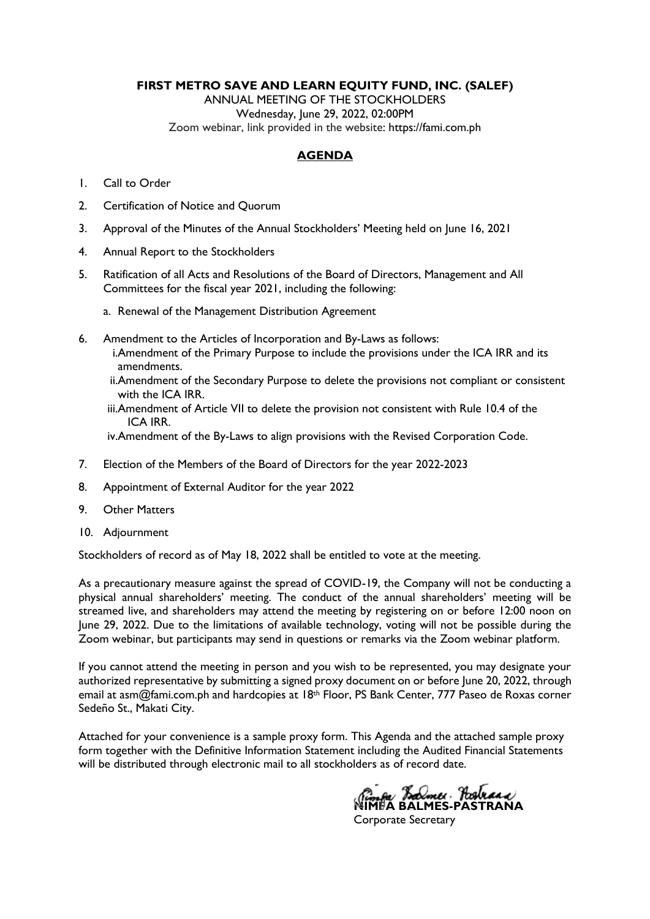**FIRST METRO SAVE AND LEARN EQUITY FUND, INC. (SALEF)**

ANNUAL MEETING OF THE STOCKHOLDERS Wednesday, June 29, 2022, 02:00PM Zoom webinar, link provided in the website: [https://fami.com.ph](https://fami.com.ph/tag/pressroom/)

### **AGENDA**

- 1. Call to Order
- 2. Certification of Notice and Quorum
- 3. Approval of the Minutes of the Annual Stockholders' Meeting held on June 16, 2021
- 4. Annual Report to the Stockholders
- 5. Ratification of all Acts and Resolutions of the Board of Directors, Management and All Committees for the fiscal year 2021, including the following:
	- a. Renewal of the Management Distribution Agreement
- 6. Amendment to the Articles of Incorporation and By-Laws as follows:
	- i.Amendment of the Primary Purpose to include the provisions under the ICA IRR and its amendments.
	- ii.Amendment of the Secondary Purpose to delete the provisions not compliant or consistent with the ICA IRR.
	- iii.Amendment of Article VII to delete the provision not consistent with Rule 10.4 of the ICA IRR.

iv.Amendment of the By-Laws to align provisions with the Revised Corporation Code.

- 7. Election of the Members of the Board of Directors for the year 2022-2023
- 8. Appointment of External Auditor for the year 2022
- 9. Other Matters
- 10. Adjournment

Stockholders of record as of May 18, 2022 shall be entitled to vote at the meeting.

As a precautionary measure against the spread of COVID-19, the Company will not be conducting a physical annual shareholders' meeting. The conduct of the annual shareholders' meeting will be streamed live, and shareholders may attend the meeting by registering on or before 12:00 noon on June 29, 2022. Due to the limitations of available technology, voting will not be possible during the Zoom webinar, but participants may send in questions or remarks via the Zoom webinar platform.

If you cannot attend the meeting in person and you wish to be represented, you may designate your authorized representative by submitting a signed proxy document on or before June 20, 2022, through email at asm@fami.com.ph and hardcopies at 18th Floor, PS Bank Center, 777 Paseo de Roxas corner Sedeño St., Makati City.

Attached for your convenience is a sample proxy form. This Agenda and the attached sample proxy form together with the Definitive Information Statement including the Audited Financial Statements will be distributed through electronic mail to all stockholders as of record date.

*N<sub>imfa</sub> Balmes* Pastraca

Corporate Secretary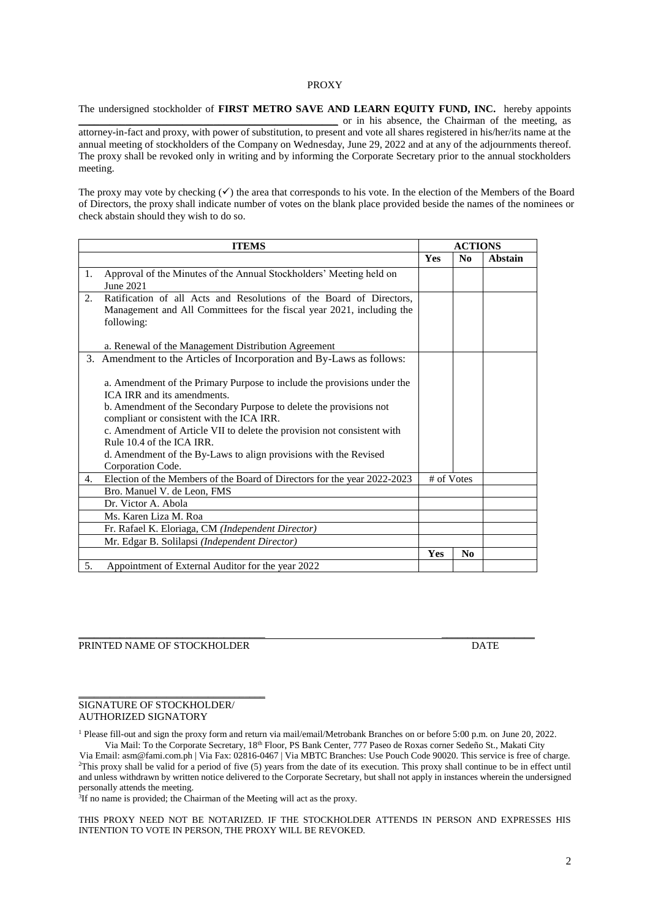#### PROXY

The undersigned stockholder of **FIRST METRO SAVE AND LEARN EQUITY FUND, INC.** hereby appoints \_\_\_\_\_\_\_\_\_\_\_\_\_\_\_\_\_\_\_\_\_\_\_\_\_\_\_\_\_\_\_\_\_\_\_\_\_\_\_\_\_\_\_\_\_\_\_\_\_\_ or in his absence, the Chairman of the meeting, as attorney-in-fact and proxy, with power of substitution, to present and vote all shares registered in his/her/its name at the annual meeting of stockholders of the Company on Wednesday, June 29, 2022 and at any of the adjournments thereof. The proxy shall be revoked only in writing and by informing the Corporate Secretary prior to the annual stockholders meeting.

The proxy may vote by checking  $(\checkmark)$  the area that corresponds to his vote. In the election of the Members of the Board of Directors, the proxy shall indicate number of votes on the blank place provided beside the names of the nominees or check abstain should they wish to do so.

| <b>ITEMS</b>                                                                                                                                                     | <b>ACTIONS</b> |                |         |
|------------------------------------------------------------------------------------------------------------------------------------------------------------------|----------------|----------------|---------|
|                                                                                                                                                                  | <b>Yes</b>     | N <sub>0</sub> | Abstain |
| Approval of the Minutes of the Annual Stockholders' Meeting held on<br>1.<br>June 2021                                                                           |                |                |         |
| Ratification of all Acts and Resolutions of the Board of Directors,<br>2.<br>Management and All Committees for the fiscal year 2021, including the<br>following: |                |                |         |
| a. Renewal of the Management Distribution Agreement                                                                                                              |                |                |         |
| 3. Amendment to the Articles of Incorporation and By-Laws as follows:                                                                                            |                |                |         |
| a. Amendment of the Primary Purpose to include the provisions under the<br>ICA IRR and its amendments.                                                           |                |                |         |
| b. Amendment of the Secondary Purpose to delete the provisions not<br>compliant or consistent with the ICA IRR.                                                  |                |                |         |
| c. Amendment of Article VII to delete the provision not consistent with<br>Rule 10.4 of the ICA IRR.                                                             |                |                |         |
| d. Amendment of the By-Laws to align provisions with the Revised<br>Corporation Code.                                                                            |                |                |         |
| Election of the Members of the Board of Directors for the year 2022-2023<br>4.                                                                                   | # of Votes     |                |         |
| Bro. Manuel V. de Leon, FMS                                                                                                                                      |                |                |         |
| Dr. Victor A. Abola                                                                                                                                              |                |                |         |
| Ms. Karen Liza M. Roa                                                                                                                                            |                |                |         |
| Fr. Rafael K. Eloriaga, CM (Independent Director)                                                                                                                |                |                |         |
| Mr. Edgar B. Solilapsi (Independent Director)                                                                                                                    |                |                |         |
|                                                                                                                                                                  | Yes            | N <sub>0</sub> |         |
| 5.<br>Appointment of External Auditor for the year 2022                                                                                                          |                |                |         |

#### $\_$  . The contribution of the contribution of  $\overline{\mathcal{L}}$  , we can also the contribution of  $\overline{\mathcal{L}}$ PRINTED NAME OF STOCKHOLDER DATE

#### SIGNATURE OF STOCKHOLDER/ AUTHORIZED SIGNATORY

\_\_\_\_\_\_\_\_\_\_\_\_\_\_\_\_\_\_\_\_\_\_\_\_\_\_\_\_\_\_\_\_\_\_\_\_

<sup>1</sup> Please fill-out and sign the proxy form and return via mail/email/Metrobank Branches on or before 5:00 p.m. on June 20, 2022.

Via Mail: To the Corporate Secretary, 18th Floor, PS Bank Center, 777 Paseo de Roxas corner Sedeño St., Makati City Via Email: asm@fami.com.ph | Via Fax: 02816-0467 | Via MBTC Branches: Use Pouch Code 90020. This service is free of charge. <sup>2</sup>This proxy shall be valid for a period of five (5) years from the date of its execution. This proxy shall continue to be in effect until and unless withdrawn by written notice delivered to the Corporate Secretary, but shall not apply in instances wherein the undersigned personally attends the meeting.

<sup>3</sup>If no name is provided; the Chairman of the Meeting will act as the proxy.

THIS PROXY NEED NOT BE NOTARIZED. IF THE STOCKHOLDER ATTENDS IN PERSON AND EXPRESSES HIS INTENTION TO VOTE IN PERSON, THE PROXY WILL BE REVOKED.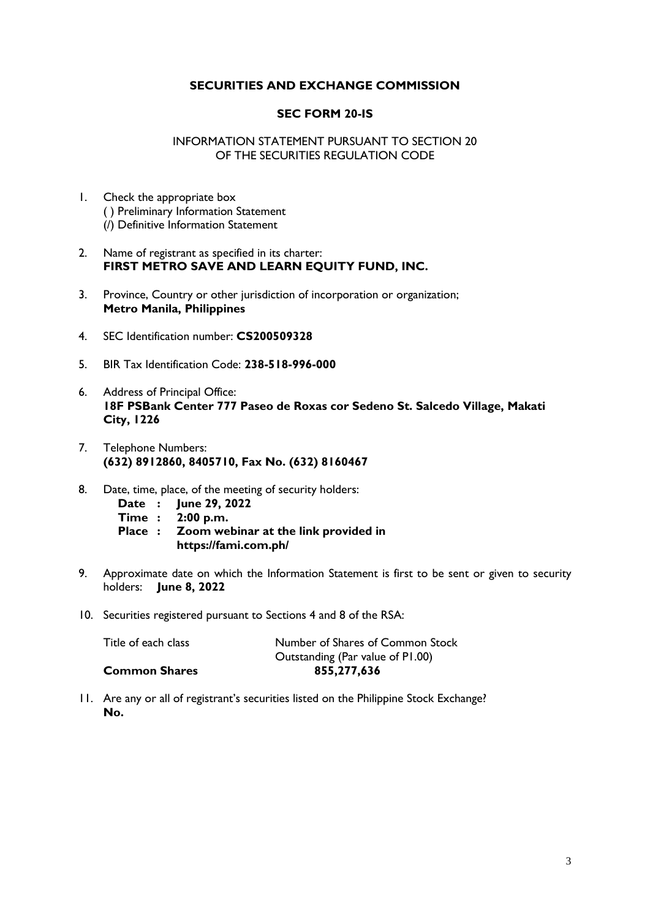### **SECURITIES AND EXCHANGE COMMISSION**

#### **SEC FORM 20-IS**

#### INFORMATION STATEMENT PURSUANT TO SECTION 20 OF THE SECURITIES REGULATION CODE

- 1. Check the appropriate box ( ) Preliminary Information Statement (/) Definitive Information Statement
- 2. Name of registrant as specified in its charter: **FIRST METRO SAVE AND LEARN EQUITY FUND, INC.**
- 3. Province, Country or other jurisdiction of incorporation or organization; **Metro Manila, Philippines**
- 4. SEC Identification number: **CS200509328**
- 5. BIR Tax Identification Code: **238-518-996-000**
- 6. Address of Principal Office: **18F PSBank Center 777 Paseo de Roxas cor Sedeno St. Salcedo Village, Makati City, 1226**
- 7. Telephone Numbers: **(632) 8912860, 8405710, Fax No. (632) 8160467**
- 8. Date, time, place, of the meeting of security holders:
	- **Date : June 29, 2022**
	- **Time : 2:00 p.m.**
	- **Place : Zoom webinar at the link provided in https://fami.com.ph/**
- 9. Approximate date on which the Information Statement is first to be sent or given to security holders: **June 8, 2022**
- 10. Securities registered pursuant to Sections 4 and 8 of the RSA:

| <b>Common Shares</b> | 855,277,636                      |
|----------------------|----------------------------------|
|                      | Outstanding (Par value of P1.00) |
| Title of each class  | Number of Shares of Common Stock |

11. Are any or all of registrant's securities listed on the Philippine Stock Exchange? **No.**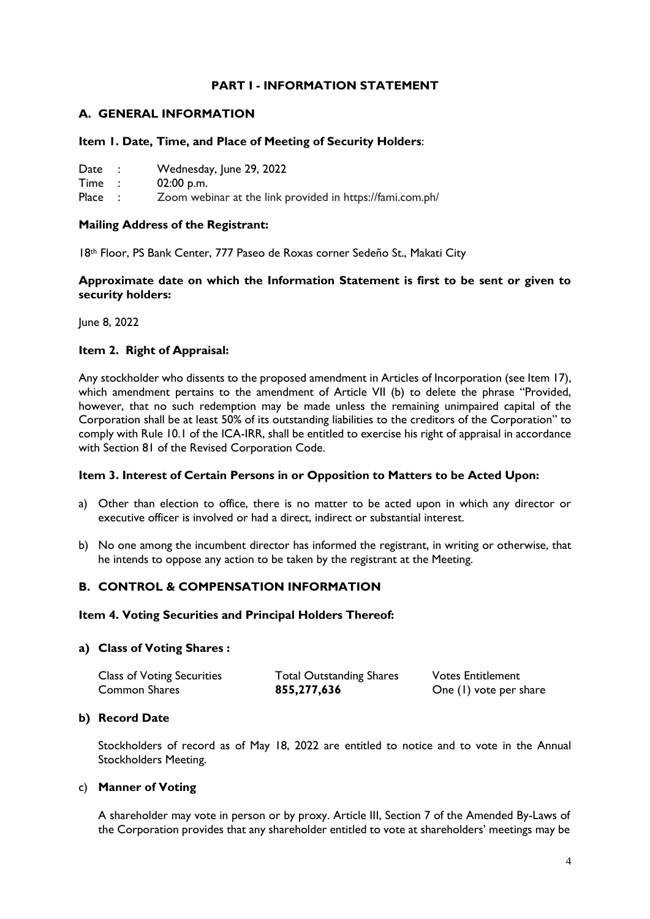### **PART I - INFORMATION STATEMENT**

### **A. GENERAL INFORMATION**

#### **Item 1. Date, Time, and Place of Meeting of Security Holders**:

- Date : Wednesday, June 29, 2022
- Time : 02:00 p.m.

Place : Zoom webinar at the link provided in https://fami.com.ph/

#### **Mailing Address of the Registrant:**

18th Floor, PS Bank Center, 777 Paseo de Roxas corner Sedeño St., Makati City

### **Approximate date on which the Information Statement is first to be sent or given to security holders:**

June 8, 2022

### **Item 2. Right of Appraisal:**

Any stockholder who dissents to the proposed amendment in Articles of Incorporation (see Item 17), which amendment pertains to the amendment of Article VII (b) to delete the phrase "Provided, however, that no such redemption may be made unless the remaining unimpaired capital of the Corporation shall be at least 50% of its outstanding liabilities to the creditors of the Corporation" to comply with Rule 10.1 of the ICA-IRR, shall be entitled to exercise his right of appraisal in accordance with Section 81 of the Revised Corporation Code.

#### **Item 3. Interest of Certain Persons in or Opposition to Matters to be Acted Upon:**

- a) Other than election to office, there is no matter to be acted upon in which any director or executive officer is involved or had a direct, indirect or substantial interest.
- b) No one among the incumbent director has informed the registrant, in writing or otherwise, that he intends to oppose any action to be taken by the registrant at the Meeting.

### **B. CONTROL & COMPENSATION INFORMATION**

#### **Item 4. Voting Securities and Principal Holders Thereof:**

#### **a) Class of Voting Shares :**

| <b>Class of Voting Securities</b> | <b>Total Outstanding Shares</b> | <b>Votes Entitlement</b> |
|-----------------------------------|---------------------------------|--------------------------|
| <b>Common Shares</b>              | 855,277,636                     | One (1) vote per share   |

#### **b) Record Date**

Stockholders of record as of May 18, 2022 are entitled to notice and to vote in the Annual Stockholders Meeting.

#### c) **Manner of Voting**

A shareholder may vote in person or by proxy. Article III, Section 7 of the Amended By-Laws of the Corporation provides that any shareholder entitled to vote at shareholders' meetings may be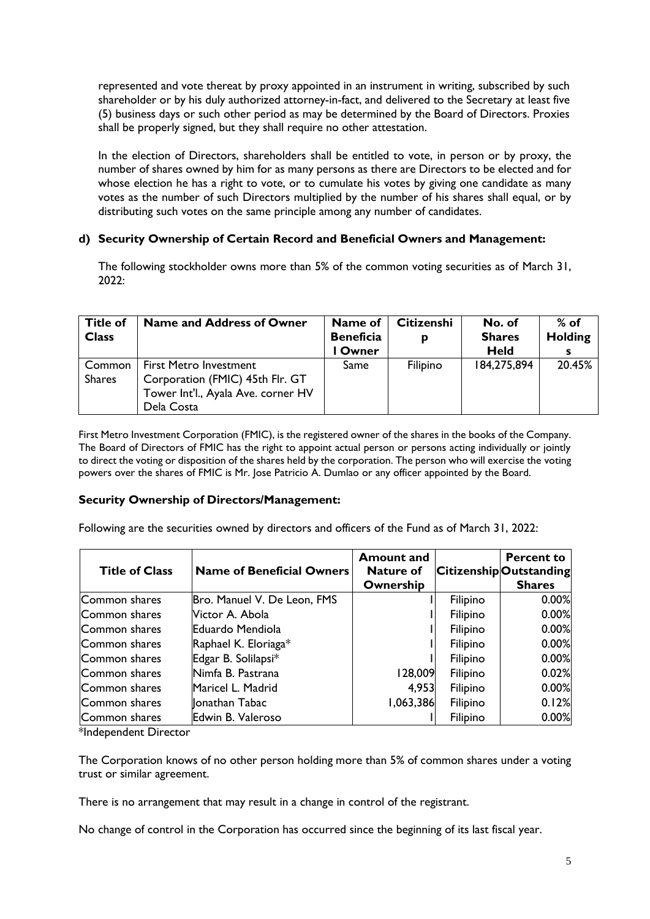represented and vote thereat by proxy appointed in an instrument in writing, subscribed by such shareholder or by his duly authorized attorney-in-fact, and delivered to the Secretary at least five (5) business days or such other period as may be determined by the Board of Directors. Proxies shall be properly signed, but they shall require no other attestation.

In the election of Directors, shareholders shall be entitled to vote, in person or by proxy, the number of shares owned by him for as many persons as there are Directors to be elected and for whose election he has a right to vote, or to cumulate his votes by giving one candidate as many votes as the number of such Directors multiplied by the number of his shares shall equal, or by distributing such votes on the same principle among any number of candidates.

### **d) Security Ownership of Certain Record and Beneficial Owners and Management:**

The following stockholder owns more than 5% of the common voting securities as of March 31, 2022:

| <b>Title of</b><br><b>Class</b> | <b>Name and Address of Owner</b>                                                                                     | Name of<br><b>Beneficia</b><br>l Owner | <b>Citizenshi</b><br>D | No. of<br><b>Shares</b><br><b>Held</b> | $%$ of<br><b>Holding</b> |
|---------------------------------|----------------------------------------------------------------------------------------------------------------------|----------------------------------------|------------------------|----------------------------------------|--------------------------|
| Common<br><b>Shares</b>         | <b>First Metro Investment</b><br>Corporation (FMIC) 45th Flr. GT<br>Tower Int'l., Ayala Ave. corner HV<br>Dela Costa | Same                                   | Filipino               | 184,275,894                            | 20.45%                   |

First Metro Investment Corporation (FMIC), is the registered owner of the shares in the books of the Company. The Board of Directors of FMIC has the right to appoint actual person or persons acting individually or jointly to direct the voting or disposition of the shares held by the corporation. The person who will exercise the voting powers over the shares of FMIC is Mr. Jose Patricio A. Dumlao or any officer appointed by the Board.

#### **Security Ownership of Directors/Management:**

Following are the securities owned by directors and officers of the Fund as of March 31, 2022:

| <b>Title of Class</b> | <b>Name of Beneficial Owners</b> | <b>Amount and</b><br><b>Nature of</b><br>Ownership |          | <b>Percent to</b><br><b>CitizenshipOutstanding</b><br><b>Shares</b> |
|-----------------------|----------------------------------|----------------------------------------------------|----------|---------------------------------------------------------------------|
| Common shares         | Bro. Manuel V. De Leon, FMS      |                                                    | Filipino | 0.00%                                                               |
| Common shares         | Victor A. Abola                  |                                                    | Filipino | 0.00%                                                               |
| Common shares         | Eduardo Mendiola                 |                                                    | Filipino | 0.00%                                                               |
| Common shares         | Raphael K. Eloriaga*             |                                                    | Filipino | 0.00%                                                               |
| Common shares         | Edgar B. Solilapsi*              |                                                    | Filipino | 0.00%                                                               |
| Common shares         | Nimfa B. Pastrana                | 128,009                                            | Filipino | 0.02%                                                               |
| Common shares         | Maricel L. Madrid                | 4,953                                              | Filipino | 0.00%                                                               |
| Common shares         | <b>Jonathan Tabac</b>            | 1,063,386                                          | Filipino | 0.12%                                                               |
| Common shares         | Edwin B. Valeroso                |                                                    | Filipino | 0.00%                                                               |

\*Independent Director

The Corporation knows of no other person holding more than 5% of common shares under a voting trust or similar agreement.

There is no arrangement that may result in a change in control of the registrant.

No change of control in the Corporation has occurred since the beginning of its last fiscal year.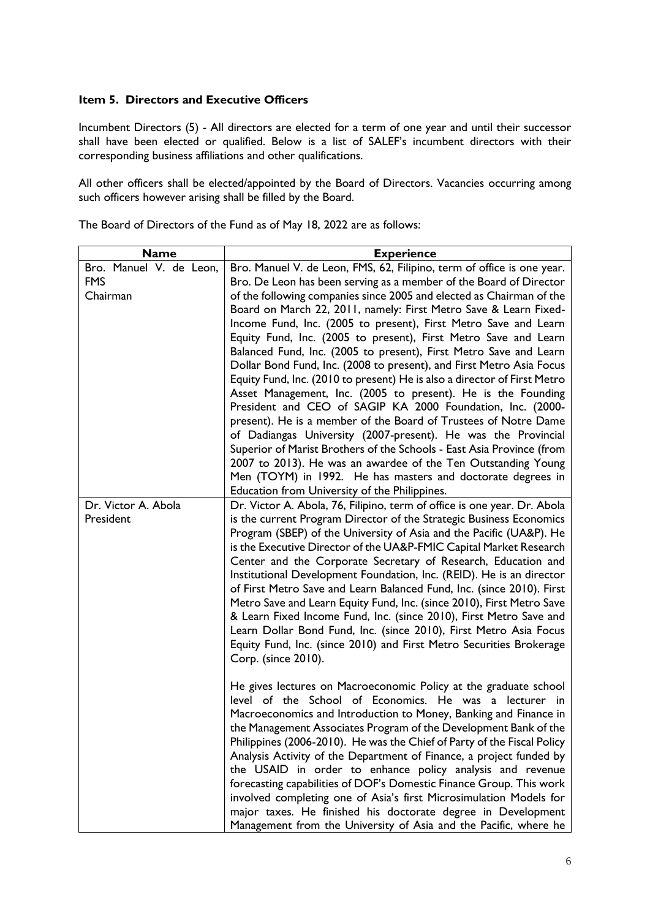### **Item 5. Directors and Executive Officers**

Incumbent Directors (5) - All directors are elected for a term of one year and until their successor shall have been elected or qualified. Below is a list of SALEF's incumbent directors with their corresponding business affiliations and other qualifications.

All other officers shall be elected/appointed by the Board of Directors. Vacancies occurring among such officers however arising shall be filled by the Board.

| The Board of Directors of the Fund as of May 18, 2022 are as follows: |  |  |  |
|-----------------------------------------------------------------------|--|--|--|
|-----------------------------------------------------------------------|--|--|--|

| <b>Name</b>             | <b>Experience</b>                                                                                                                   |
|-------------------------|-------------------------------------------------------------------------------------------------------------------------------------|
| Bro. Manuel V. de Leon, | Bro. Manuel V. de Leon, FMS, 62, Filipino, term of office is one year.                                                              |
| <b>FMS</b>              | Bro. De Leon has been serving as a member of the Board of Director                                                                  |
| Chairman                | of the following companies since 2005 and elected as Chairman of the                                                                |
|                         | Board on March 22, 2011, namely: First Metro Save & Learn Fixed-                                                                    |
|                         | Income Fund, Inc. (2005 to present), First Metro Save and Learn                                                                     |
|                         | Equity Fund, Inc. (2005 to present), First Metro Save and Learn                                                                     |
|                         | Balanced Fund, Inc. (2005 to present), First Metro Save and Learn                                                                   |
|                         | Dollar Bond Fund, Inc. (2008 to present), and First Metro Asia Focus                                                                |
|                         | Equity Fund, Inc. (2010 to present) He is also a director of First Metro                                                            |
|                         | Asset Management, Inc. (2005 to present). He is the Founding                                                                        |
|                         | President and CEO of SAGIP KA 2000 Foundation, Inc. (2000-                                                                          |
|                         | present). He is a member of the Board of Trustees of Notre Dame                                                                     |
|                         | of Dadiangas University (2007-present). He was the Provincial                                                                       |
|                         | Superior of Marist Brothers of the Schools - East Asia Province (from                                                               |
|                         | 2007 to 2013). He was an awardee of the Ten Outstanding Young                                                                       |
|                         | Men (TOYM) in 1992. He has masters and doctorate degrees in                                                                         |
|                         | Education from University of the Philippines.                                                                                       |
| Dr. Victor A. Abola     | Dr. Victor A. Abola, 76, Filipino, term of office is one year. Dr. Abola                                                            |
| President               | is the current Program Director of the Strategic Business Economics                                                                 |
|                         | Program (SBEP) of the University of Asia and the Pacific (UA&P). He                                                                 |
|                         | is the Executive Director of the UA&P-FMIC Capital Market Research<br>Center and the Corporate Secretary of Research, Education and |
|                         | Institutional Development Foundation, Inc. (REID). He is an director                                                                |
|                         | of First Metro Save and Learn Balanced Fund, Inc. (since 2010). First                                                               |
|                         | Metro Save and Learn Equity Fund, Inc. (since 2010), First Metro Save                                                               |
|                         | & Learn Fixed Income Fund, Inc. (since 2010), First Metro Save and                                                                  |
|                         | Learn Dollar Bond Fund, Inc. (since 2010), First Metro Asia Focus                                                                   |
|                         | Equity Fund, Inc. (since 2010) and First Metro Securities Brokerage                                                                 |
|                         | Corp. (since 2010).                                                                                                                 |
|                         |                                                                                                                                     |
|                         | He gives lectures on Macroeconomic Policy at the graduate school                                                                    |
|                         | level of the School of Economics. He was a lecturer in                                                                              |
|                         | Macroeconomics and Introduction to Money, Banking and Finance in                                                                    |
|                         | the Management Associates Program of the Development Bank of the                                                                    |
|                         | Philippines (2006-2010). He was the Chief of Party of the Fiscal Policy                                                             |
|                         | Analysis Activity of the Department of Finance, a project funded by                                                                 |
|                         | the USAID in order to enhance policy analysis and revenue                                                                           |
|                         | forecasting capabilities of DOF's Domestic Finance Group. This work                                                                 |
|                         | involved completing one of Asia's first Microsimulation Models for                                                                  |
|                         | major taxes. He finished his doctorate degree in Development                                                                        |
|                         | Management from the University of Asia and the Pacific, where he                                                                    |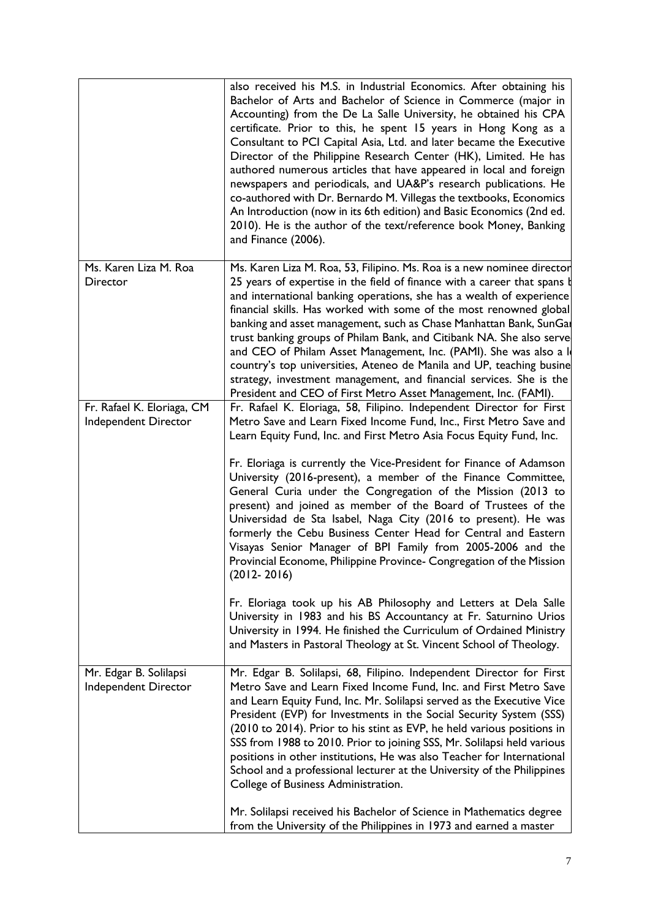|                                                    | also received his M.S. in Industrial Economics. After obtaining his<br>Bachelor of Arts and Bachelor of Science in Commerce (major in<br>Accounting) from the De La Salle University, he obtained his CPA<br>certificate. Prior to this, he spent 15 years in Hong Kong as a<br>Consultant to PCI Capital Asia, Ltd. and later became the Executive<br>Director of the Philippine Research Center (HK), Limited. He has<br>authored numerous articles that have appeared in local and foreign<br>newspapers and periodicals, and UA&P's research publications. He<br>co-authored with Dr. Bernardo M. Villegas the textbooks, Economics<br>An Introduction (now in its 6th edition) and Basic Economics (2nd ed.<br>2010). He is the author of the text/reference book Money, Banking<br>and Finance (2006).                                                                                                                                                                                                                                                                    |
|----------------------------------------------------|---------------------------------------------------------------------------------------------------------------------------------------------------------------------------------------------------------------------------------------------------------------------------------------------------------------------------------------------------------------------------------------------------------------------------------------------------------------------------------------------------------------------------------------------------------------------------------------------------------------------------------------------------------------------------------------------------------------------------------------------------------------------------------------------------------------------------------------------------------------------------------------------------------------------------------------------------------------------------------------------------------------------------------------------------------------------------------|
| Ms. Karen Liza M. Roa<br>Director                  | Ms. Karen Liza M. Roa, 53, Filipino. Ms. Roa is a new nominee director<br>25 years of expertise in the field of finance with a career that spans b<br>and international banking operations, she has a wealth of experience<br>financial skills. Has worked with some of the most renowned global<br>banking and asset management, such as Chase Manhattan Bank, SunGa<br>trust banking groups of Philam Bank, and Citibank NA. She also serve<br>and CEO of Philam Asset Management, Inc. (PAMI). She was also a lo<br>country's top universities, Ateneo de Manila and UP, teaching busine<br>strategy, investment management, and financial services. She is the<br>President and CEO of First Metro Asset Management, Inc. (FAMI).                                                                                                                                                                                                                                                                                                                                           |
| Fr. Rafael K. Eloriaga, CM<br>Independent Director | Fr. Rafael K. Eloriaga, 58, Filipino. Independent Director for First<br>Metro Save and Learn Fixed Income Fund, Inc., First Metro Save and<br>Learn Equity Fund, Inc. and First Metro Asia Focus Equity Fund, Inc.<br>Fr. Eloriaga is currently the Vice-President for Finance of Adamson<br>University (2016-present), a member of the Finance Committee,<br>General Curia under the Congregation of the Mission (2013 to<br>present) and joined as member of the Board of Trustees of the<br>Universidad de Sta Isabel, Naga City (2016 to present). He was<br>formerly the Cebu Business Center Head for Central and Eastern<br>Visayas Senior Manager of BPI Family from 2005-2006 and the<br>Provincial Econome, Philippine Province- Congregation of the Mission<br>$(2012 - 2016)$<br>Fr. Eloriaga took up his AB Philosophy and Letters at Dela Salle<br>University in 1983 and his BS Accountancy at Fr. Saturnino Urios<br>University in 1994. He finished the Curriculum of Ordained Ministry<br>and Masters in Pastoral Theology at St. Vincent School of Theology. |
| Mr. Edgar B. Solilapsi<br>Independent Director     | Mr. Edgar B. Solilapsi, 68, Filipino. Independent Director for First<br>Metro Save and Learn Fixed Income Fund, Inc. and First Metro Save<br>and Learn Equity Fund, Inc. Mr. Solilapsi served as the Executive Vice<br>President (EVP) for Investments in the Social Security System (SSS)<br>(2010 to 2014). Prior to his stint as EVP, he held various positions in<br>SSS from 1988 to 2010. Prior to joining SSS, Mr. Solilapsi held various<br>positions in other institutions, He was also Teacher for International<br>School and a professional lecturer at the University of the Philippines<br>College of Business Administration.                                                                                                                                                                                                                                                                                                                                                                                                                                    |
|                                                    | Mr. Solilapsi received his Bachelor of Science in Mathematics degree<br>from the University of the Philippines in 1973 and earned a master                                                                                                                                                                                                                                                                                                                                                                                                                                                                                                                                                                                                                                                                                                                                                                                                                                                                                                                                      |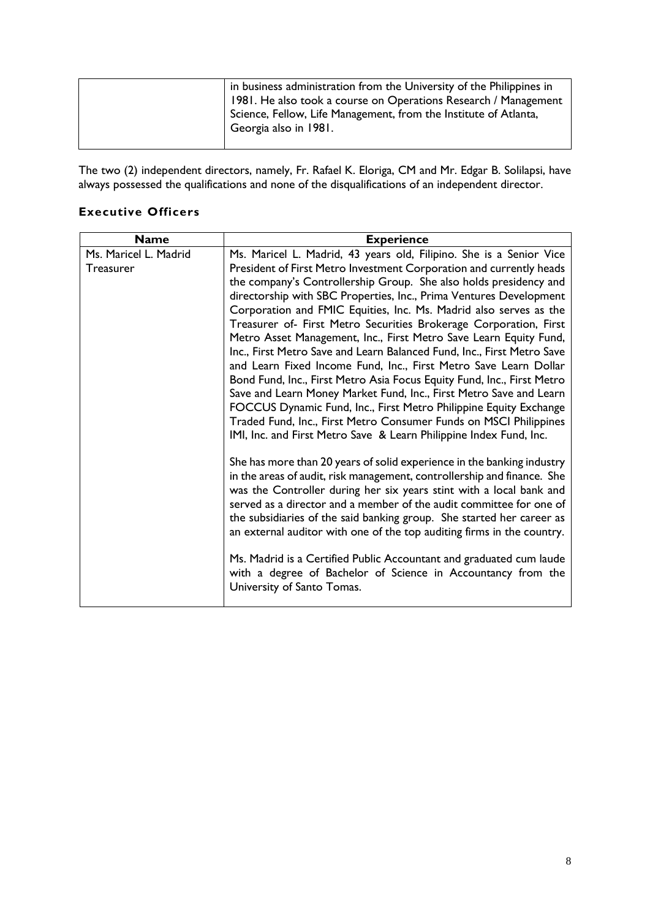The two (2) independent directors, namely, Fr. Rafael K. Eloriga, CM and Mr. Edgar B. Solilapsi, have always possessed the qualifications and none of the disqualifications of an independent director.

# **Executive Officers**

| <b>Name</b>           | <b>Experience</b>                                                       |  |  |  |
|-----------------------|-------------------------------------------------------------------------|--|--|--|
| Ms. Maricel L. Madrid | Ms. Maricel L. Madrid, 43 years old, Filipino. She is a Senior Vice     |  |  |  |
| Treasurer             | President of First Metro Investment Corporation and currently heads     |  |  |  |
|                       | the company's Controllership Group. She also holds presidency and       |  |  |  |
|                       | directorship with SBC Properties, Inc., Prima Ventures Development      |  |  |  |
|                       | Corporation and FMIC Equities, Inc. Ms. Madrid also serves as the       |  |  |  |
|                       | Treasurer of- First Metro Securities Brokerage Corporation, First       |  |  |  |
|                       | Metro Asset Management, Inc., First Metro Save Learn Equity Fund,       |  |  |  |
|                       | Inc., First Metro Save and Learn Balanced Fund, Inc., First Metro Save  |  |  |  |
|                       | and Learn Fixed Income Fund, Inc., First Metro Save Learn Dollar        |  |  |  |
|                       | Bond Fund, Inc., First Metro Asia Focus Equity Fund, Inc., First Metro  |  |  |  |
|                       | Save and Learn Money Market Fund, Inc., First Metro Save and Learn      |  |  |  |
|                       | FOCCUS Dynamic Fund, Inc., First Metro Philippine Equity Exchange       |  |  |  |
|                       | Traded Fund, Inc., First Metro Consumer Funds on MSCI Philippines       |  |  |  |
|                       | IMI, Inc. and First Metro Save & Learn Philippine Index Fund, Inc.      |  |  |  |
|                       |                                                                         |  |  |  |
|                       | She has more than 20 years of solid experience in the banking industry  |  |  |  |
|                       | in the areas of audit, risk management, controllership and finance. She |  |  |  |
|                       | was the Controller during her six years stint with a local bank and     |  |  |  |
|                       | served as a director and a member of the audit committee for one of     |  |  |  |
|                       | the subsidiaries of the said banking group. She started her career as   |  |  |  |
|                       | an external auditor with one of the top auditing firms in the country.  |  |  |  |
|                       | Ms. Madrid is a Certified Public Accountant and graduated cum laude     |  |  |  |
|                       | with a degree of Bachelor of Science in Accountancy from the            |  |  |  |
|                       | University of Santo Tomas.                                              |  |  |  |
|                       |                                                                         |  |  |  |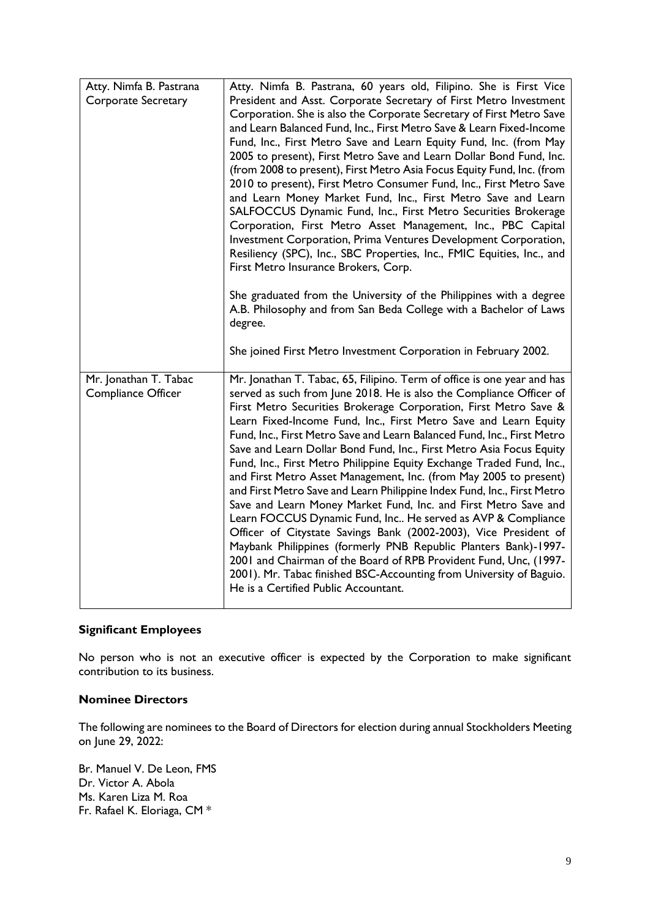| Atty. Nimfa B. Pastrana<br>Corporate Secretary | Atty. Nimfa B. Pastrana, 60 years old, Filipino. She is First Vice<br>President and Asst. Corporate Secretary of First Metro Investment<br>Corporation. She is also the Corporate Secretary of First Metro Save<br>and Learn Balanced Fund, Inc., First Metro Save & Learn Fixed-Income<br>Fund, Inc., First Metro Save and Learn Equity Fund, Inc. (from May<br>2005 to present), First Metro Save and Learn Dollar Bond Fund, Inc.<br>(from 2008 to present), First Metro Asia Focus Equity Fund, Inc. (from<br>2010 to present), First Metro Consumer Fund, Inc., First Metro Save<br>and Learn Money Market Fund, Inc., First Metro Save and Learn<br>SALFOCCUS Dynamic Fund, Inc., First Metro Securities Brokerage<br>Corporation, First Metro Asset Management, Inc., PBC Capital<br>Investment Corporation, Prima Ventures Development Corporation,<br>Resiliency (SPC), Inc., SBC Properties, Inc., FMIC Equities, Inc., and<br>First Metro Insurance Brokers, Corp.<br>She graduated from the University of the Philippines with a degree<br>A.B. Philosophy and from San Beda College with a Bachelor of Laws<br>degree. |
|------------------------------------------------|-------------------------------------------------------------------------------------------------------------------------------------------------------------------------------------------------------------------------------------------------------------------------------------------------------------------------------------------------------------------------------------------------------------------------------------------------------------------------------------------------------------------------------------------------------------------------------------------------------------------------------------------------------------------------------------------------------------------------------------------------------------------------------------------------------------------------------------------------------------------------------------------------------------------------------------------------------------------------------------------------------------------------------------------------------------------------------------------------------------------------------------|
|                                                | She joined First Metro Investment Corporation in February 2002.                                                                                                                                                                                                                                                                                                                                                                                                                                                                                                                                                                                                                                                                                                                                                                                                                                                                                                                                                                                                                                                                     |
| Mr. Jonathan T. Tabac<br>Compliance Officer    | Mr. Jonathan T. Tabac, 65, Filipino. Term of office is one year and has<br>served as such from June 2018. He is also the Compliance Officer of<br>First Metro Securities Brokerage Corporation, First Metro Save &<br>Learn Fixed-Income Fund, Inc., First Metro Save and Learn Equity<br>Fund, Inc., First Metro Save and Learn Balanced Fund, Inc., First Metro<br>Save and Learn Dollar Bond Fund, Inc., First Metro Asia Focus Equity<br>Fund, Inc., First Metro Philippine Equity Exchange Traded Fund, Inc.,<br>and First Metro Asset Management, Inc. (from May 2005 to present)<br>and First Metro Save and Learn Philippine Index Fund, Inc., First Metro<br>Save and Learn Money Market Fund, Inc. and First Metro Save and<br>Learn FOCCUS Dynamic Fund, Inc He served as AVP & Compliance<br>Officer of Citystate Savings Bank (2002-2003), Vice President of<br>Maybank Philippines (formerly PNB Republic Planters Bank)-1997-<br>2001 and Chairman of the Board of RPB Provident Fund, Unc, (1997-<br>2001). Mr. Tabac finished BSC-Accounting from University of Baguio.<br>He is a Certified Public Accountant.    |

### **Significant Employees**

No person who is not an executive officer is expected by the Corporation to make significant contribution to its business.

### **Nominee Directors**

The following are nominees to the Board of Directors for election during annual Stockholders Meeting on June 29, 2022:

Br. Manuel V. De Leon, FMS Dr. Victor A. Abola Ms. Karen Liza M. Roa Fr. Rafael K. Eloriaga, CM \*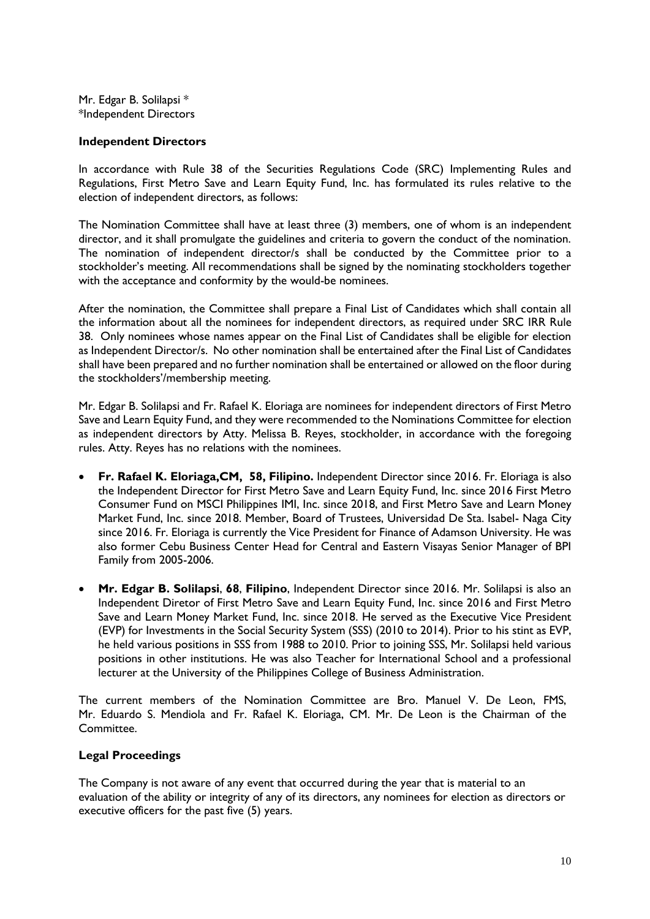Mr. Edgar B. Solilapsi \* \*Independent Directors

#### **Independent Directors**

In accordance with Rule 38 of the Securities Regulations Code (SRC) Implementing Rules and Regulations, First Metro Save and Learn Equity Fund, Inc. has formulated its rules relative to the election of independent directors, as follows:

The Nomination Committee shall have at least three (3) members, one of whom is an independent director, and it shall promulgate the guidelines and criteria to govern the conduct of the nomination. The nomination of independent director/s shall be conducted by the Committee prior to a stockholder's meeting. All recommendations shall be signed by the nominating stockholders together with the acceptance and conformity by the would-be nominees.

After the nomination, the Committee shall prepare a Final List of Candidates which shall contain all the information about all the nominees for independent directors, as required under SRC IRR Rule 38. Only nominees whose names appear on the Final List of Candidates shall be eligible for election as Independent Director/s. No other nomination shall be entertained after the Final List of Candidates shall have been prepared and no further nomination shall be entertained or allowed on the floor during the stockholders'/membership meeting.

Mr. Edgar B. Solilapsi and Fr. Rafael K. Eloriaga are nominees for independent directors of First Metro Save and Learn Equity Fund, and they were recommended to the Nominations Committee for election as independent directors by Atty. Melissa B. Reyes, stockholder, in accordance with the foregoing rules. Atty. Reyes has no relations with the nominees.

- **Fr. Rafael K. Eloriaga,CM, 58, Filipino.** Independent Director since 2016. Fr. Eloriaga is also the Independent Director for First Metro Save and Learn Equity Fund, Inc. since 2016 First Metro Consumer Fund on MSCI Philippines IMI, Inc. since 2018, and First Metro Save and Learn Money Market Fund, Inc. since 2018. Member, Board of Trustees, Universidad De Sta. Isabel- Naga City since 2016. Fr. Eloriaga is currently the Vice President for Finance of Adamson University. He was also former Cebu Business Center Head for Central and Eastern Visayas Senior Manager of BPI Family from 2005-2006.
- **Mr. Edgar B. Solilapsi**, **68**, **Filipino**, Independent Director since 2016. Mr. Solilapsi is also an Independent Diretor of First Metro Save and Learn Equity Fund, Inc. since 2016 and First Metro Save and Learn Money Market Fund, Inc. since 2018. He served as the Executive Vice President (EVP) for Investments in the Social Security System (SSS) (2010 to 2014). Prior to his stint as EVP, he held various positions in SSS from 1988 to 2010. Prior to joining SSS, Mr. Solilapsi held various positions in other institutions. He was also Teacher for International School and a professional lecturer at the University of the Philippines College of Business Administration.

The current members of the Nomination Committee are Bro. Manuel V. De Leon, FMS, Mr. Eduardo S. Mendiola and Fr. Rafael K. Eloriaga, CM. Mr. De Leon is the Chairman of the Committee.

#### **Legal Proceedings**

The Company is not aware of any event that occurred during the year that is material to an evaluation of the ability or integrity of any of its directors, any nominees for election as directors or executive officers for the past five (5) years.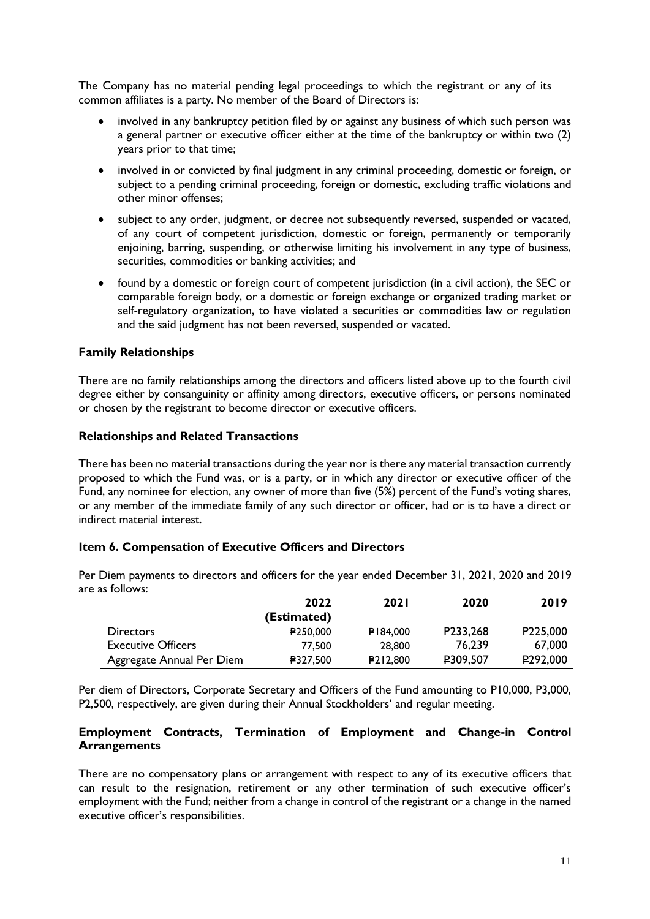The Company has no material pending legal proceedings to which the registrant or any of its common affiliates is a party. No member of the Board of Directors is:

- involved in any bankruptcy petition filed by or against any business of which such person was a general partner or executive officer either at the time of the bankruptcy or within two (2) years prior to that time;
- involved in or convicted by final judgment in any criminal proceeding, domestic or foreign, or subject to a pending criminal proceeding, foreign or domestic, excluding traffic violations and other minor offenses;
- subject to any order, judgment, or decree not subsequently reversed, suspended or vacated, of any court of competent jurisdiction, domestic or foreign, permanently or temporarily enjoining, barring, suspending, or otherwise limiting his involvement in any type of business, securities, commodities or banking activities; and
- found by a domestic or foreign court of competent jurisdiction (in a civil action), the SEC or comparable foreign body, or a domestic or foreign exchange or organized trading market or self-regulatory organization, to have violated a securities or commodities law or regulation and the said judgment has not been reversed, suspended or vacated.

### **Family Relationships**

There are no family relationships among the directors and officers listed above up to the fourth civil degree either by consanguinity or affinity among directors, executive officers, or persons nominated or chosen by the registrant to become director or executive officers.

#### **Relationships and Related Transactions**

There has been no material transactions during the year nor is there any material transaction currently proposed to which the Fund was, or is a party, or in which any director or executive officer of the Fund, any nominee for election, any owner of more than five (5%) percent of the Fund's voting shares, or any member of the immediate family of any such director or officer, had or is to have a direct or indirect material interest.

#### **Item 6. Compensation of Executive Officers and Directors**

| e as follows:             |                 |             |                        |                      |
|---------------------------|-----------------|-------------|------------------------|----------------------|
|                           | 2022            | <b>2021</b> | 2020                   | 2019                 |
|                           | (Estimated)     |             |                        |                      |
| <b>Directors</b>          | <b>₽250,000</b> | ₽184.000    | P <sub>233</sub> , 268 | P <sub>225,000</sub> |
| <b>Executive Officers</b> | 77.500          | 28,800      | 76.239                 | 67,000               |
| Aggregate Annual Per Diem | <b>₽327.500</b> | P212.800    | P309,507               | P <sub>292,000</sub> |

Per Diem payments to directors and officers for the year ended December 31, 2021, 2020 and 2019 are

Per diem of Directors, Corporate Secretary and Officers of the Fund amounting to P10,000, P3,000, P2,500, respectively, are given during their Annual Stockholders' and regular meeting.

#### **Employment Contracts, Termination of Employment and Change-in Control Arrangements**

There are no compensatory plans or arrangement with respect to any of its executive officers that can result to the resignation, retirement or any other termination of such executive officer's employment with the Fund; neither from a change in control of the registrant or a change in the named executive officer's responsibilities.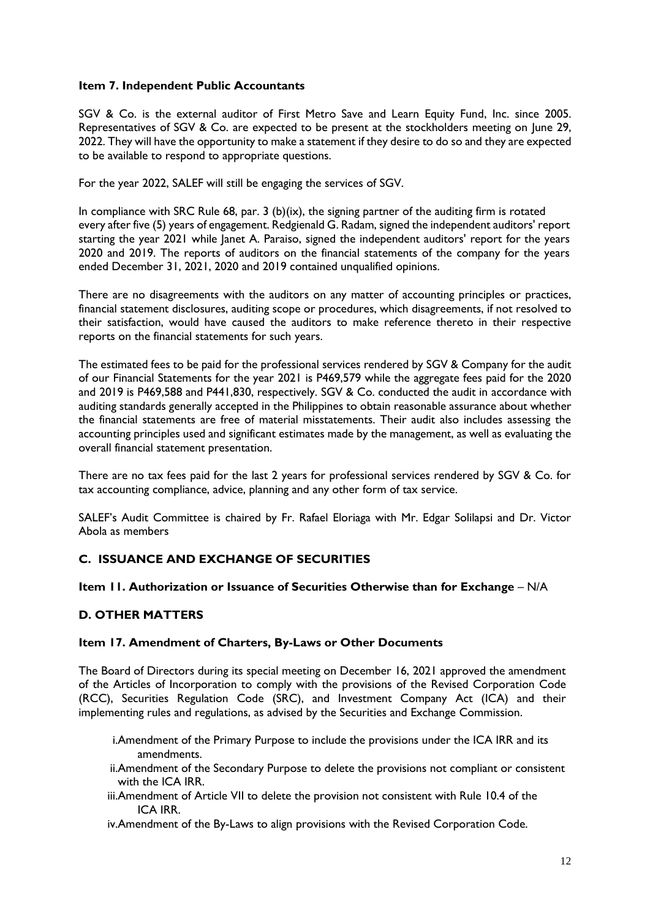### **Item 7. Independent Public Accountants**

SGV & Co. is the external auditor of First Metro Save and Learn Equity Fund, Inc. since 2005. Representatives of SGV & Co. are expected to be present at the stockholders meeting on June 29, 2022. They will have the opportunity to make a statement if they desire to do so and they are expected to be available to respond to appropriate questions.

For the year 2022, SALEF will still be engaging the services of SGV.

In compliance with SRC Rule 68, par. 3 (b)(ix), the signing partner of the auditing firm is rotated every after five (5) years of engagement. Redgienald G. Radam, signed the independent auditors' report starting the year 2021 while Janet A. Paraiso, signed the independent auditors' report for the years 2020 and 2019. The reports of auditors on the financial statements of the company for the years ended December 31, 2021, 2020 and 2019 contained unqualified opinions.

There are no disagreements with the auditors on any matter of accounting principles or practices, financial statement disclosures, auditing scope or procedures, which disagreements, if not resolved to their satisfaction, would have caused the auditors to make reference thereto in their respective reports on the financial statements for such years.

The estimated fees to be paid for the professional services rendered by SGV & Company for the audit of our Financial Statements for the year 2021 is P469,579 while the aggregate fees paid for the 2020 and 2019 is P469,588 and P441,830, respectively. SGV & Co. conducted the audit in accordance with auditing standards generally accepted in the Philippines to obtain reasonable assurance about whether the financial statements are free of material misstatements. Their audit also includes assessing the accounting principles used and significant estimates made by the management, as well as evaluating the overall financial statement presentation.

There are no tax fees paid for the last 2 years for professional services rendered by SGV & Co. for tax accounting compliance, advice, planning and any other form of tax service.

SALEF's Audit Committee is chaired by Fr. Rafael Eloriaga with Mr. Edgar Solilapsi and Dr. Victor Abola as members

# **C. ISSUANCE AND EXCHANGE OF SECURITIES**

### **Item 11. Authorization or Issuance of Securities Otherwise than for Exchange** – N/A

### **D. OTHER MATTERS**

#### **Item 17. Amendment of Charters, By-Laws or Other Documents**

The Board of Directors during its special meeting on December 16, 2021 approved the amendment of the Articles of Incorporation to comply with the provisions of the Revised Corporation Code (RCC), Securities Regulation Code (SRC), and Investment Company Act (ICA) and their implementing rules and regulations, as advised by the Securities and Exchange Commission.

- i.Amendment of the Primary Purpose to include the provisions under the ICA IRR and its amendments.
- ii.Amendment of the Secondary Purpose to delete the provisions not compliant or consistent with the ICA IRR.
- iii.Amendment of Article VII to delete the provision not consistent with Rule 10.4 of the ICA IRR.
- iv.Amendment of the By-Laws to align provisions with the Revised Corporation Code.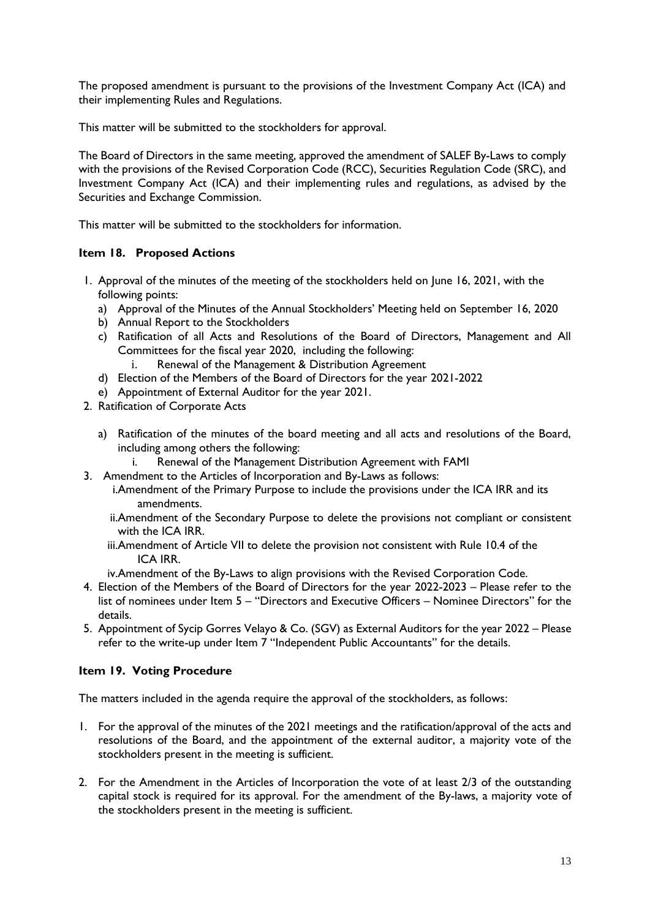The proposed amendment is pursuant to the provisions of the Investment Company Act (ICA) and their implementing Rules and Regulations.

This matter will be submitted to the stockholders for approval.

The Board of Directors in the same meeting, approved the amendment of SALEF By-Laws to comply with the provisions of the Revised Corporation Code (RCC), Securities Regulation Code (SRC), and Investment Company Act (ICA) and their implementing rules and regulations, as advised by the Securities and Exchange Commission.

This matter will be submitted to the stockholders for information.

### **Item 18. Proposed Actions**

- 1. Approval of the minutes of the meeting of the stockholders held on June 16, 2021, with the following points:
	- a) Approval of the Minutes of the Annual Stockholders' Meeting held on September 16, 2020
	- b) Annual Report to the Stockholders
	- c) Ratification of all Acts and Resolutions of the Board of Directors, Management and All Committees for the fiscal year 2020, including the following:
		- i. Renewal of the Management & Distribution Agreement
	- d) Election of the Members of the Board of Directors for the year 2021-2022
	- e) Appointment of External Auditor for the year 2021.
- 2. Ratification of Corporate Acts
	- a) Ratification of the minutes of the board meeting and all acts and resolutions of the Board, including among others the following:
		- i. Renewal of the Management Distribution Agreement with FAMI
- 3. Amendment to the Articles of Incorporation and By-Laws as follows:
	- i.Amendment of the Primary Purpose to include the provisions under the ICA IRR and its amendments.
	- ii.Amendment of the Secondary Purpose to delete the provisions not compliant or consistent with the ICA IRR.
	- iii.Amendment of Article VII to delete the provision not consistent with Rule 10.4 of the ICA IRR.
	- iv.Amendment of the By-Laws to align provisions with the Revised Corporation Code.
- 4. Election of the Members of the Board of Directors for the year 2022-2023 Please refer to the list of nominees under Item 5 – "Directors and Executive Officers – Nominee Directors" for the details.
- 5. Appointment of Sycip Gorres Velayo & Co. (SGV) as External Auditors for the year 2022 Please refer to the write-up under Item 7 "Independent Public Accountants" for the details.

#### **Item 19. Voting Procedure**

The matters included in the agenda require the approval of the stockholders, as follows:

- 1. For the approval of the minutes of the 2021 meetings and the ratification/approval of the acts and resolutions of the Board, and the appointment of the external auditor, a majority vote of the stockholders present in the meeting is sufficient.
- 2. For the Amendment in the Articles of Incorporation the vote of at least 2/3 of the outstanding capital stock is required for its approval. For the amendment of the By-laws, a majority vote of the stockholders present in the meeting is sufficient.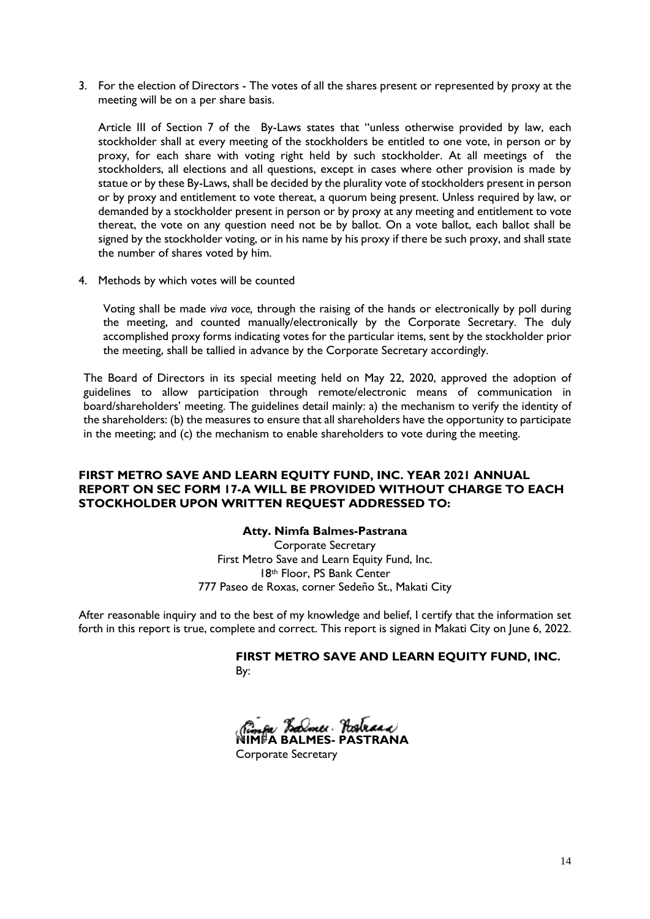3. For the election of Directors - The votes of all the shares present or represented by proxy at the meeting will be on a per share basis.

Article III of Section 7 of the By-Laws states that "unless otherwise provided by law, each stockholder shall at every meeting of the stockholders be entitled to one vote, in person or by proxy, for each share with voting right held by such stockholder. At all meetings of the stockholders, all elections and all questions, except in cases where other provision is made by statue or by these By-Laws, shall be decided by the plurality vote of stockholders present in person or by proxy and entitlement to vote thereat, a quorum being present. Unless required by law, or demanded by a stockholder present in person or by proxy at any meeting and entitlement to vote thereat, the vote on any question need not be by ballot. On a vote ballot, each ballot shall be signed by the stockholder voting, or in his name by his proxy if there be such proxy, and shall state the number of shares voted by him.

4. Methods by which votes will be counted

Voting shall be made *viva voce,* through the raising of the hands or electronically by poll during the meeting, and counted manually/electronically by the Corporate Secretary. The duly accomplished proxy forms indicating votes for the particular items, sent by the stockholder prior the meeting, shall be tallied in advance by the Corporate Secretary accordingly.

The Board of Directors in its special meeting held on May 22, 2020, approved the adoption of guidelines to allow participation through remote/electronic means of communication in board/shareholders' meeting. The guidelines detail mainly: a) the mechanism to verify the identity of the shareholders: (b) the measures to ensure that all shareholders have the opportunity to participate in the meeting; and (c) the mechanism to enable shareholders to vote during the meeting.

### **FIRST METRO SAVE AND LEARN EQUITY FUND, INC. YEAR 2021 ANNUAL REPORT ON SEC FORM 17-A WILL BE PROVIDED WITHOUT CHARGE TO EACH STOCKHOLDER UPON WRITTEN REQUEST ADDRESSED TO:**

### **Atty. Nimfa Balmes-Pastrana**

Corporate Secretary First Metro Save and Learn Equity Fund, Inc. 18th Floor, PS Bank Center 777 Paseo de Roxas, corner Sedeño St., Makati City

After reasonable inquiry and to the best of my knowledge and belief, I certify that the information set forth in this report is true, complete and correct. This report is signed in Makati City on June 6, 2022.

> **FIRST METRO SAVE AND LEARN EQUITY FUND, INC.**  By:

**NIMFA BALMES- PASTRANA** 

Corporate Secretary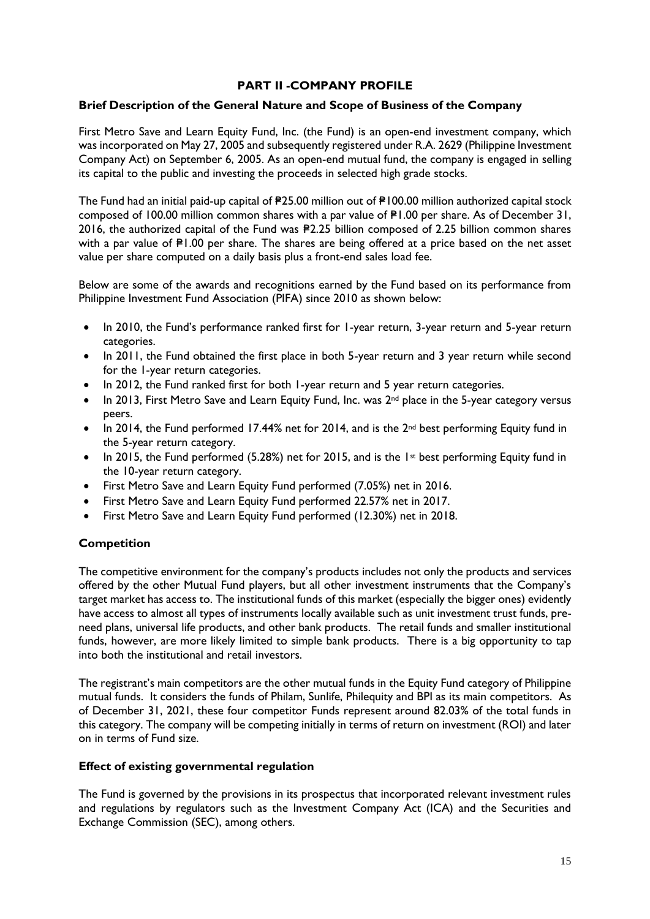### **PART II -COMPANY PROFILE**

#### **Brief Description of the General Nature and Scope of Business of the Company**

First Metro Save and Learn Equity Fund, Inc. (the Fund) is an open-end investment company, which was incorporated on May 27, 2005 and subsequently registered under R.A. 2629 (Philippine Investment Company Act) on September 6, 2005. As an open-end mutual fund, the company is engaged in selling its capital to the public and investing the proceeds in selected high grade stocks.

The Fund had an initial paid-up capital of  $P25.00$  million out of  $P100.00$  million authorized capital stock composed of 100.00 million common shares with a par value of  $PI.00$  per share. As of December 31, 2016, the authorized capital of the Fund was P2.25 billion composed of 2.25 billion common shares with a par value of  $P1.00$  per share. The shares are being offered at a price based on the net asset value per share computed on a daily basis plus a front-end sales load fee.

Below are some of the awards and recognitions earned by the Fund based on its performance from Philippine Investment Fund Association (PIFA) since 2010 as shown below:

- In 2010, the Fund's performance ranked first for 1-year return, 3-year return and 5-year return categories.
- In 2011, the Fund obtained the first place in both 5-year return and 3 year return while second for the 1-year return categories.
- In 2012, the Fund ranked first for both 1-year return and 5 year return categories.
- In 2013, First Metro Save and Learn Equity Fund, Inc. was 2<sup>nd</sup> place in the 5-year category versus peers.
- In 2014, the Fund performed 17.44% net for 2014, and is the 2<sup>nd</sup> best performing Equity fund in the 5-year return category.
- In 2015, the Fund performed (5.28%) net for 2015, and is the 1st best performing Equity fund in the 10-year return category.
- First Metro Save and Learn Equity Fund performed (7.05%) net in 2016.
- First Metro Save and Learn Equity Fund performed 22.57% net in 2017.
- First Metro Save and Learn Equity Fund performed (12.30%) net in 2018.

### **Competition**

The competitive environment for the company's products includes not only the products and services offered by the other Mutual Fund players, but all other investment instruments that the Company's target market has access to. The institutional funds of this market (especially the bigger ones) evidently have access to almost all types of instruments locally available such as unit investment trust funds, preneed plans, universal life products, and other bank products. The retail funds and smaller institutional funds, however, are more likely limited to simple bank products. There is a big opportunity to tap into both the institutional and retail investors.

The registrant's main competitors are the other mutual funds in the Equity Fund category of Philippine mutual funds. It considers the funds of Philam, Sunlife, Philequity and BPI as its main competitors. As of December 31, 2021, these four competitor Funds represent around 82.03% of the total funds in this category. The company will be competing initially in terms of return on investment (ROI) and later on in terms of Fund size.

#### **Effect of existing governmental regulation**

The Fund is governed by the provisions in its prospectus that incorporated relevant investment rules and regulations by regulators such as the Investment Company Act (ICA) and the Securities and Exchange Commission (SEC), among others.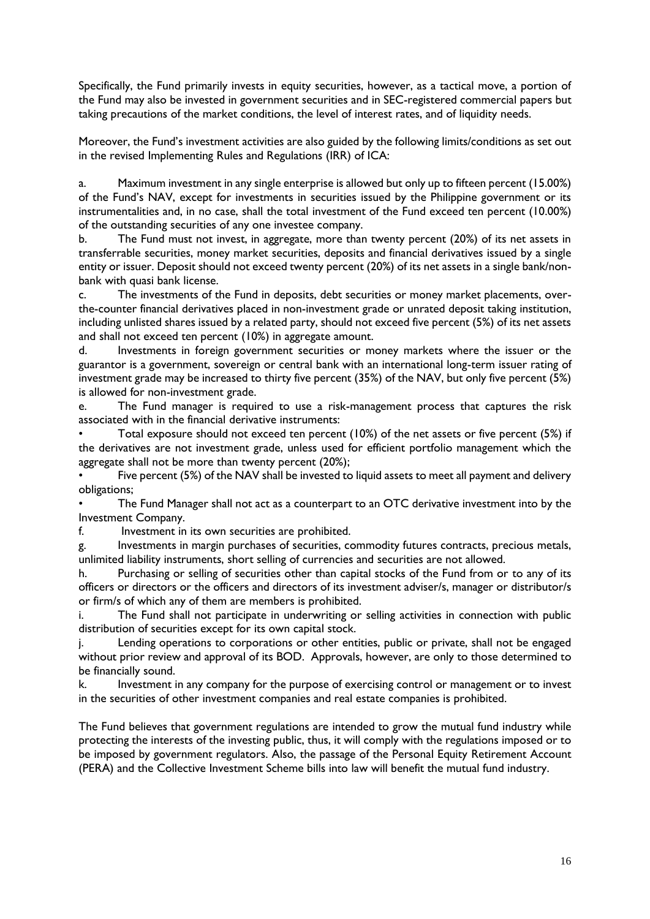Specifically, the Fund primarily invests in equity securities, however, as a tactical move, a portion of the Fund may also be invested in government securities and in SEC-registered commercial papers but taking precautions of the market conditions, the level of interest rates, and of liquidity needs.

Moreover, the Fund's investment activities are also guided by the following limits/conditions as set out in the revised Implementing Rules and Regulations (IRR) of ICA:

a. Maximum investment in any single enterprise is allowed but only up to fifteen percent (15.00%) of the Fund's NAV, except for investments in securities issued by the Philippine government or its instrumentalities and, in no case, shall the total investment of the Fund exceed ten percent (10.00%) of the outstanding securities of any one investee company.

b. The Fund must not invest, in aggregate, more than twenty percent (20%) of its net assets in transferrable securities, money market securities, deposits and financial derivatives issued by a single entity or issuer. Deposit should not exceed twenty percent (20%) of its net assets in a single bank/nonbank with quasi bank license.

c. The investments of the Fund in deposits, debt securities or money market placements, overthe-counter financial derivatives placed in non-investment grade or unrated deposit taking institution, including unlisted shares issued by a related party, should not exceed five percent (5%) of its net assets and shall not exceed ten percent (10%) in aggregate amount.

d. Investments in foreign government securities or money markets where the issuer or the guarantor is a government, sovereign or central bank with an international long-term issuer rating of investment grade may be increased to thirty five percent (35%) of the NAV, but only five percent (5%) is allowed for non-investment grade.

e. The Fund manager is required to use a risk-management process that captures the risk associated with in the financial derivative instruments:

• Total exposure should not exceed ten percent (10%) of the net assets or five percent (5%) if the derivatives are not investment grade, unless used for efficient portfolio management which the aggregate shall not be more than twenty percent (20%);

Five percent (5%) of the NAV shall be invested to liquid assets to meet all payment and delivery obligations;

The Fund Manager shall not act as a counterpart to an OTC derivative investment into by the Investment Company.

f. Investment in its own securities are prohibited.

g. Investments in margin purchases of securities, commodity futures contracts, precious metals, unlimited liability instruments, short selling of currencies and securities are not allowed.

h. Purchasing or selling of securities other than capital stocks of the Fund from or to any of its officers or directors or the officers and directors of its investment adviser/s, manager or distributor/s or firm/s of which any of them are members is prohibited.

i. The Fund shall not participate in underwriting or selling activities in connection with public distribution of securities except for its own capital stock.

j. Lending operations to corporations or other entities, public or private, shall not be engaged without prior review and approval of its BOD. Approvals, however, are only to those determined to be financially sound.

k. Investment in any company for the purpose of exercising control or management or to invest in the securities of other investment companies and real estate companies is prohibited.

The Fund believes that government regulations are intended to grow the mutual fund industry while protecting the interests of the investing public, thus, it will comply with the regulations imposed or to be imposed by government regulators. Also, the passage of the Personal Equity Retirement Account (PERA) and the Collective Investment Scheme bills into law will benefit the mutual fund industry.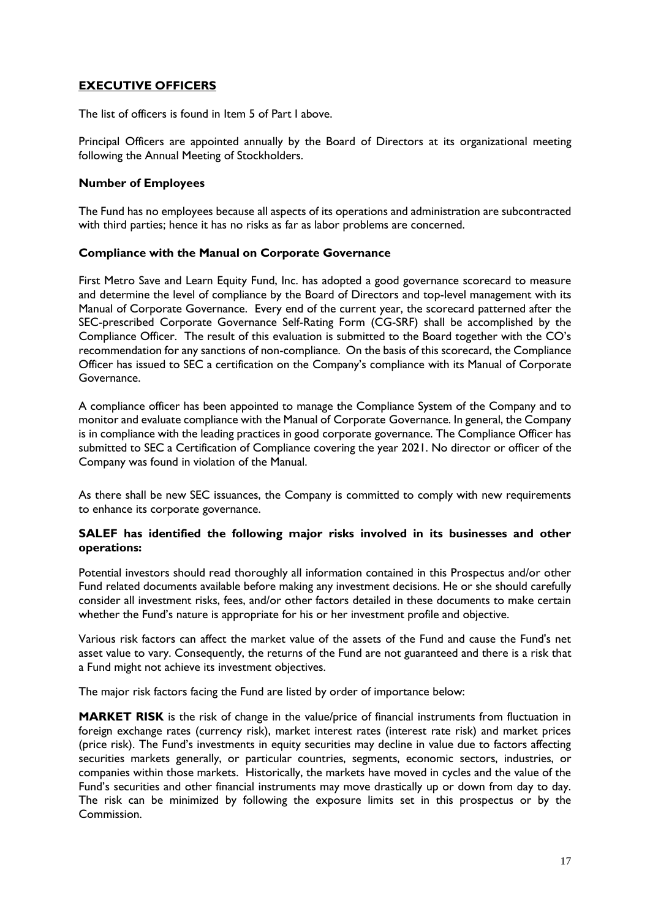# **EXECUTIVE OFFICERS**

The list of officers is found in Item 5 of Part I above.

Principal Officers are appointed annually by the Board of Directors at its organizational meeting following the Annual Meeting of Stockholders.

#### **Number of Employees**

The Fund has no employees because all aspects of its operations and administration are subcontracted with third parties; hence it has no risks as far as labor problems are concerned.

### **Compliance with the Manual on Corporate Governance**

First Metro Save and Learn Equity Fund, Inc. has adopted a good governance scorecard to measure and determine the level of compliance by the Board of Directors and top-level management with its Manual of Corporate Governance. Every end of the current year, the scorecard patterned after the SEC-prescribed Corporate Governance Self-Rating Form (CG-SRF) shall be accomplished by the Compliance Officer. The result of this evaluation is submitted to the Board together with the CO's recommendation for any sanctions of non-compliance. On the basis of this scorecard, the Compliance Officer has issued to SEC a certification on the Company's compliance with its Manual of Corporate Governance.

A compliance officer has been appointed to manage the Compliance System of the Company and to monitor and evaluate compliance with the Manual of Corporate Governance. In general, the Company is in compliance with the leading practices in good corporate governance. The Compliance Officer has submitted to SEC a Certification of Compliance covering the year 2021. No director or officer of the Company was found in violation of the Manual.

As there shall be new SEC issuances, the Company is committed to comply with new requirements to enhance its corporate governance.

#### **SALEF has identified the following major risks involved in its businesses and other operations:**

Potential investors should read thoroughly all information contained in this Prospectus and/or other Fund related documents available before making any investment decisions. He or she should carefully consider all investment risks, fees, and/or other factors detailed in these documents to make certain whether the Fund's nature is appropriate for his or her investment profile and objective.

Various risk factors can affect the market value of the assets of the Fund and cause the Fund's net asset value to vary. Consequently, the returns of the Fund are not guaranteed and there is a risk that a Fund might not achieve its investment objectives.

The major risk factors facing the Fund are listed by order of importance below:

**MARKET RISK** is the risk of change in the value/price of financial instruments from fluctuation in foreign exchange rates (currency risk), market interest rates (interest rate risk) and market prices (price risk). The Fund's investments in equity securities may decline in value due to factors affecting securities markets generally, or particular countries, segments, economic sectors, industries, or companies within those markets. Historically, the markets have moved in cycles and the value of the Fund's securities and other financial instruments may move drastically up or down from day to day. The risk can be minimized by following the exposure limits set in this prospectus or by the Commission.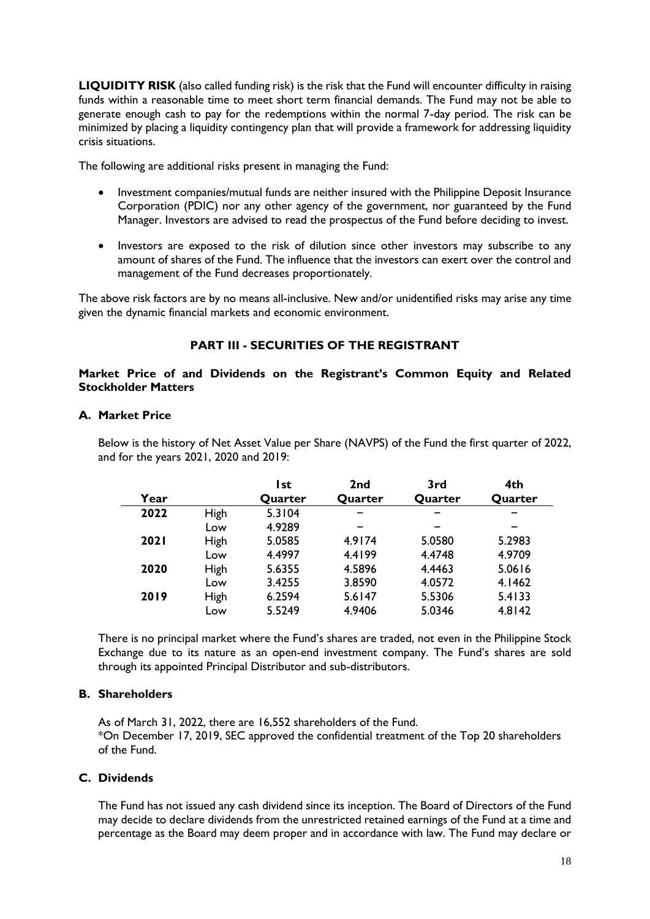**LIQUIDITY RISK** (also called funding risk) is the risk that the Fund will encounter difficulty in raising funds within a reasonable time to meet short term financial demands. The Fund may not be able to generate enough cash to pay for the redemptions within the normal 7-day period. The risk can be minimized by placing a liquidity contingency plan that will provide a framework for addressing liquidity crisis situations.

The following are additional risks present in managing the Fund:

- Investment companies/mutual funds are neither insured with the Philippine Deposit Insurance Corporation (PDIC) nor any other agency of the government, nor guaranteed by the Fund Manager. Investors are advised to read the prospectus of the Fund before deciding to invest.
- Investors are exposed to the risk of dilution since other investors may subscribe to any amount of shares of the Fund. The influence that the investors can exert over the control and management of the Fund decreases proportionately.

The above risk factors are by no means all-inclusive. New and/or unidentified risks may arise any time given the dynamic financial markets and economic environment.

# **PART III - SECURITIES OF THE REGISTRANT**

### **Market Price of and Dividends on the Registrant's Common Equity and Related Stockholder Matters**

### **A. Market Price**

Below is the history of Net Asset Value per Share (NAVPS) of the Fund the first quarter of 2022, and for the years 2021, 2020 and 2019:

|             |             | l st    | 2 <sub>nd</sub> | 3rd     | 4th     |
|-------------|-------------|---------|-----------------|---------|---------|
| Year        |             | Quarter | Quarter         | Quarter | Quarter |
| 2022        | High        | 5.3104  |                 |         |         |
|             | Low         | 4.9289  |                 |         |         |
| <b>2021</b> | <b>High</b> | 5.0585  | 4.9174          | 5.0580  | 5.2983  |
|             | Low         | 4.4997  | 4.4199          | 4.4748  | 4.9709  |
| 2020        | <b>High</b> | 5.6355  | 4.5896          | 4.4463  | 5.0616  |
|             | Low         | 3.4255  | 3.8590          | 4.0572  | 4.1462  |
| 2019        | <b>High</b> | 6.2594  | 5.6147          | 5.5306  | 5.4133  |
|             | Low         | 5.5249  | 4.9406          | 5.0346  | 4.8142  |

There is no principal market where the Fund's shares are traded, not even in the Philippine Stock Exchange due to its nature as an open-end investment company. The Fund's shares are sold through its appointed Principal Distributor and sub-distributors.

### **B. Shareholders**

As of March 31, 2022, there are 16,552 shareholders of the Fund. \*On December 17, 2019, SEC approved the confidential treatment of the Top 20 shareholders of the Fund.

# **C. Dividends**

The Fund has not issued any cash dividend since its inception. The Board of Directors of the Fund may decide to declare dividends from the unrestricted retained earnings of the Fund at a time and percentage as the Board may deem proper and in accordance with law. The Fund may declare or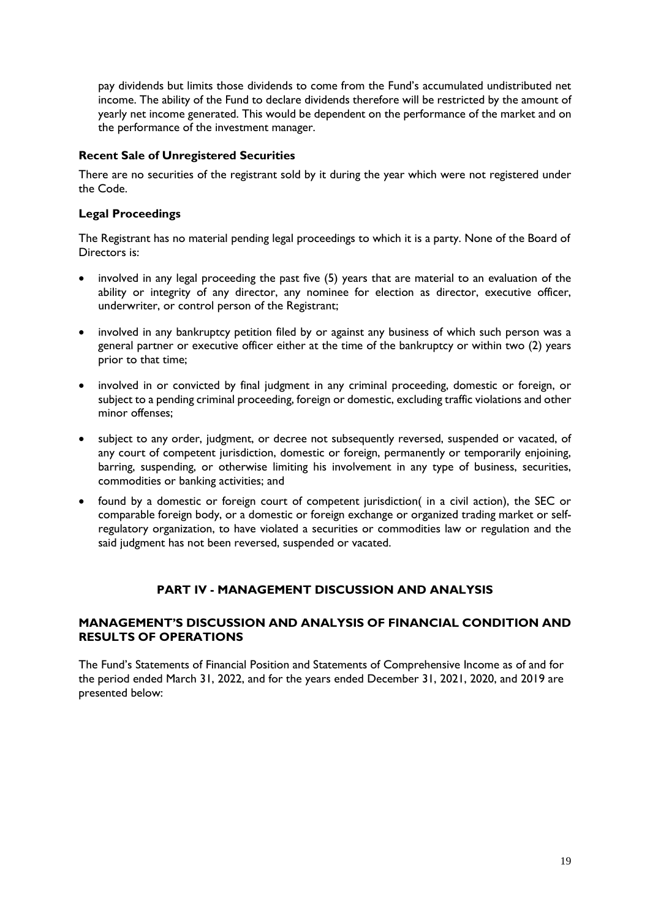pay dividends but limits those dividends to come from the Fund's accumulated undistributed net income. The ability of the Fund to declare dividends therefore will be restricted by the amount of yearly net income generated. This would be dependent on the performance of the market and on the performance of the investment manager.

### **Recent Sale of Unregistered Securities**

There are no securities of the registrant sold by it during the year which were not registered under the Code.

### **Legal Proceedings**

The Registrant has no material pending legal proceedings to which it is a party. None of the Board of Directors is:

- involved in any legal proceeding the past five (5) years that are material to an evaluation of the ability or integrity of any director, any nominee for election as director, executive officer, underwriter, or control person of the Registrant;
- involved in any bankruptcy petition filed by or against any business of which such person was a general partner or executive officer either at the time of the bankruptcy or within two (2) years prior to that time;
- involved in or convicted by final judgment in any criminal proceeding, domestic or foreign, or subject to a pending criminal proceeding, foreign or domestic, excluding traffic violations and other minor offenses;
- subject to any order, judgment, or decree not subsequently reversed, suspended or vacated, of any court of competent jurisdiction, domestic or foreign, permanently or temporarily enjoining, barring, suspending, or otherwise limiting his involvement in any type of business, securities, commodities or banking activities; and
- found by a domestic or foreign court of competent jurisdiction( in a civil action), the SEC or comparable foreign body, or a domestic or foreign exchange or organized trading market or selfregulatory organization, to have violated a securities or commodities law or regulation and the said judgment has not been reversed, suspended or vacated.

### **PART IV - MANAGEMENT DISCUSSION AND ANALYSIS**

### **MANAGEMENT'S DISCUSSION AND ANALYSIS OF FINANCIAL CONDITION AND RESULTS OF OPERATIONS**

The Fund's Statements of Financial Position and Statements of Comprehensive Income as of and for the period ended March 31, 2022, and for the years ended December 31, 2021, 2020, and 2019 are presented below: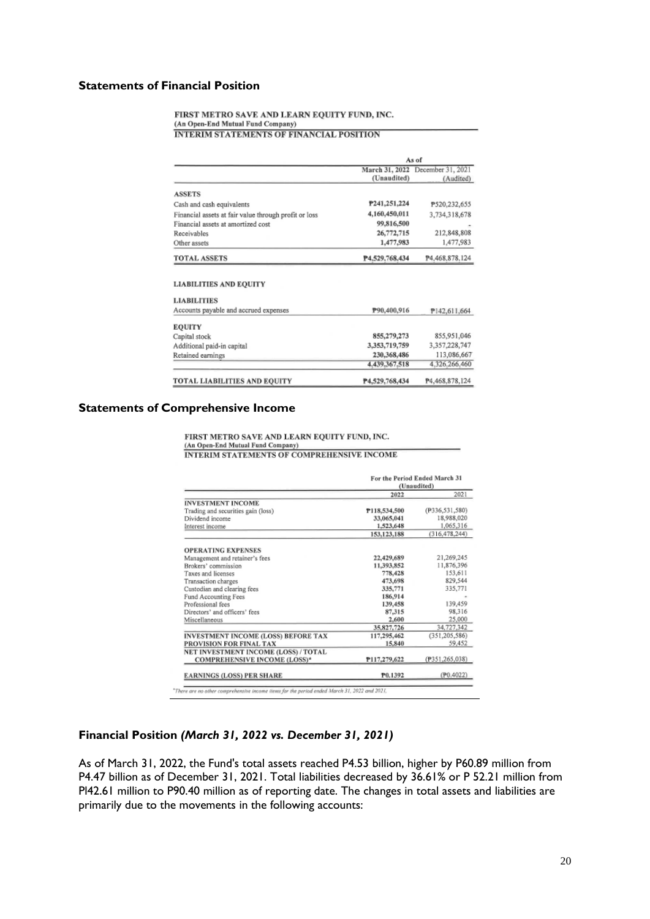#### **Statements of Financial Position**

FIRST METRO SAVE AND LEARN EQUITY FUND, INC. (An Open-End Mutual Fund Company) **INTERIM STATEMENTS OF FINANCIAL POSITION** 

|                                                              | As of          |                                  |
|--------------------------------------------------------------|----------------|----------------------------------|
|                                                              |                | March 31, 2022 December 31, 2021 |
|                                                              | (Unaudited)    | (Audited)                        |
| <b>ASSETS</b>                                                |                |                                  |
| Cash and cash equivalents                                    | P241.251.224   | P520,232,655                     |
| Financial assets at fair value through profit or loss        | 4,160,450,011  | 3,734,318,678                    |
| Financial assets at amortized cost                           | 99,816,500     |                                  |
| Receivables                                                  | 26,772,715     | 212,848,808                      |
| Other assets                                                 | 1,477,983      | 1,477,983                        |
| <b>TOTAL ASSETS</b>                                          | P4.529.768.434 | P4.468.878.124                   |
| <b>LIABILITIES AND EQUITY</b>                                |                |                                  |
|                                                              |                |                                  |
| <b>LIABILITIES</b>                                           |                |                                  |
| Accounts payable and accrued expenses                        | P90,400,916    | P142.611.664                     |
|                                                              |                |                                  |
|                                                              | 855,279,273    | 855,951,046                      |
| <b>EQUITY</b><br>Capital stock<br>Additional paid-in capital | 3,353,719,759  | 3,357,228,747                    |
|                                                              | 230,368,486    | 113,086,667                      |
| Retained earnings                                            | 4.439.367.518  | 4.326.266.460                    |

#### **Statements of Comprehensive Income**

FIRST METRO SAVE AND LEARN EQUITY FUND, INC.<br>(An Open-End Mutual Fund Company)<br>INTERIM STATEMENTS OF COMPREHENSIVE INCOME

|                                            | For the Period Ended March 31<br>(Unaudited) |                 |
|--------------------------------------------|----------------------------------------------|-----------------|
|                                            | 2022                                         | 2021            |
| <b>INVESTMENT INCOME</b>                   |                                              |                 |
| Trading and securities gain (loss)         | P118,534,500                                 | (P336,531,580)  |
| Dividend income                            | 33,065,041                                   | 18,988,020      |
| Interest income                            | 1,523,648                                    | 1,065,316       |
|                                            | 153, 123, 188                                | (316, 478, 244) |
| <b>OPERATING EXPENSES</b>                  |                                              |                 |
| Management and retainer's fees             | 22,429,689                                   | 21,269,245      |
| Brokers' commission                        | 11,393,852                                   | 11,876,396      |
| Taxes and licenses                         | 778,428                                      | 153,611         |
| Transaction charges                        | 473,698                                      | 829,544         |
| Custodian and clearing fees                | 335,771                                      | 335,771         |
| Fund Accounting Fees                       | 186,914                                      |                 |
| Professional fees                          | 139,458                                      | 139,459         |
| Directors' and officers' fees              | 87,315                                       | 98.316          |
| Miscellaneous                              | 2,600                                        | 25,000          |
|                                            | 35,827,726                                   | 34,727,342      |
| <b>INVESTMENT INCOME (LOSS) BEFORE TAX</b> | 117,295,462                                  | (351, 205, 586) |
| PROVISION FOR FINAL TAX                    | 15,840                                       | 59,452          |
| NET INVESTMENT INCOME (LOSS) / TOTAL       |                                              |                 |
| <b>COMPREHENSIVE INCOME (LOSS)*</b>        | P117,279,622                                 | (P351,265,038)  |
| <b>EARNINGS (LOSS) PER SHARE</b>           | P0.1392                                      | (P0, 4022)      |

\*There are no other comprehensive income items for the period ended March 31, 2022 and 2021,

#### **Financial Position** *(March 31, 2022 vs. December 31, 2021)*

As of March 31, 2022, the Fund's total assets reached P4.53 billion, higher by P60.89 million from P4.47 billion as of December 31, 2021. Total liabilities decreased by 36.61% or P 52.21 million from Pl42.61 million to P90.40 million as of reporting date. The changes in total assets and liabilities are primarily due to the movements in the following accounts: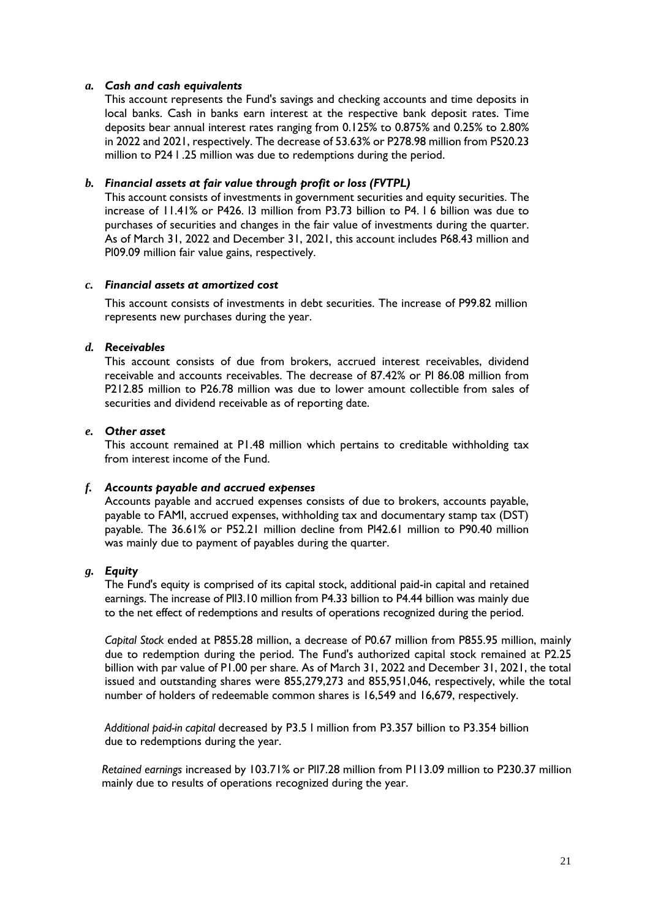### *a. Cash and cash equivalents*

This account represents the Fund's savings and checking accounts and time deposits in local banks. Cash in banks earn interest at the respective bank deposit rates. Time deposits bear annual interest rates ranging from 0.125% to 0.875% and 0.25% to 2.80% in 2022 and 2021, respectively. The decrease of 53.63% or P278.98 million from P520.23 million to P24 l .25 million was due to redemptions during the period.

### *b. Financial assets at fair value through profit or loss (FVTPL)*

This account consists of investments in government securities and equity securities. The increase of 11.41% or P426. l3 million from P3.73 billion to P4. l 6 billion was due to purchases of securities and changes in the fair value of investments during the quarter. As of March 31, 2022 and December 31, 2021, this account includes P68.43 million and Pl09.09 million fair value gains, respectively.

#### *c. Financial assets at amortized cost*

This account consists of investments in debt securities. The increase of P99.82 million represents new purchases during the year.

### *d. Receivables*

This account consists of due from brokers, accrued interest receivables, dividend receivable and accounts receivables. The decrease of 87.42% or Pl 86.08 million from P212.85 million to P26.78 million was due to lower amount collectible from sales of securities and dividend receivable as of reporting date.

#### *e. Other asset*

This account remained at P1.48 million which pertains to creditable withholding tax from interest income of the Fund.

#### *f. Accounts payable and accrued expenses*

Accounts payable and accrued expenses consists of due to brokers, accounts payable, payable to FAMI, accrued expenses, withholding tax and documentary stamp tax (DST) payable. The 36.61% or P52.21 million decline from Pl42.61 million to P90.40 million was mainly due to payment of payables during the quarter.

#### *g. Equity*

The Fund's equity is comprised of its capital stock, additional paid-in capital and retained earnings. The increase of Pll3.10 million from P4.33 billion to P4.44 billion was mainly due to the net effect of redemptions and results of operations recognized during the period.

*Capital Stock* ended at P855.28 million, a decrease of P0.67 million from P855.95 million, mainly due to redemption during the period. The Fund's authorized capital stock remained at P2.25 billion with par value of P1.00 per share. As of March 31, 2022 and December 31, 2021, the total issued and outstanding shares were 855,279,273 and 855,951,046, respectively, while the total number of holders of redeemable common shares is 16,549 and 16,679, respectively.

*Additional paid-in capital* decreased by P3.5 l million from P3.357 billion to P3.354 billion due to redemptions during the year.

*Retained earnings* increased by 103.71% or Pll7.28 million from P113.09 million to P230.37 million mainly due to results of operations recognized during the year.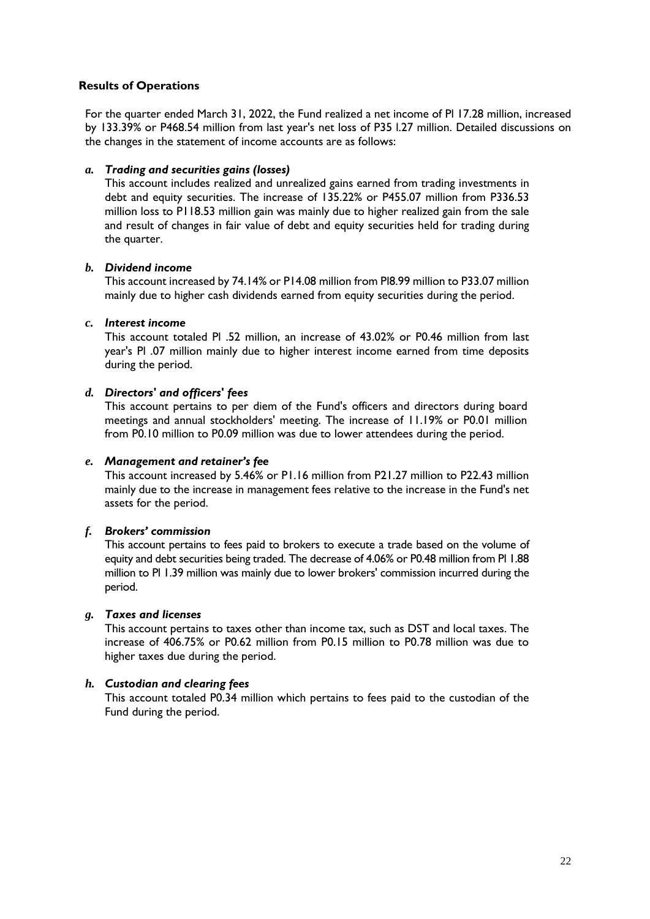### **Results of Operations**

For the quarter ended March 31, 2022, the Fund realized a net income of Pl 17.28 million, increased by 133.39% or P468.54 million from last year's net loss of P35 l.27 million. Detailed discussions on the changes in the statement of income accounts are as follows:

#### *a. Trading and securities gains (losses)*

This account includes realized and unrealized gains earned from trading investments in debt and equity securities. The increase of 135.22% or P455.07 million from P336.53 million loss to P118.53 million gain was mainly due to higher realized gain from the sale and result of changes in fair value of debt and equity securities held for trading during the quarter.

### *b. Dividend income*

This account increased by 74.14% or P14.08 million from Pl8.99 million to P33.07 million mainly due to higher cash dividends earned from equity securities during the period.

### *c. Interest income*

This account totaled Pl .52 million, an increase of 43.02% or P0.46 million from last year's Pl .07 million mainly due to higher interest income earned from time deposits during the period.

### *d. Directors' and officers' fees*

This account pertains to per diem of the Fund's officers and directors during board meetings and annual stockholders' meeting. The increase of 11.19% or P0.01 million from P0.10 million to P0.09 million was due to lower attendees during the period.

#### *e. Management and retainer's fee*

This account increased by 5.46% or P1.16 million from P21.27 million to P22.43 million mainly due to the increase in management fees relative to the increase in the Fund's net assets for the period.

### *f. Brokers' commission*

This account pertains to fees paid to brokers to execute a trade based on the volume of equity and debt securities being traded. The decrease of 4.06% or P0.48 million from Pl 1.88 million to Pl 1.39 million was mainly due to lower brokers' commission incurred during the period.

### *g. Taxes and licenses*

This account pertains to taxes other than income tax, such as DST and local taxes. The increase of 406.75% or P0.62 million from P0.15 million to P0.78 million was due to higher taxes due during the period.

### *h. Custodian and clearing fees*

This account totaled P0.34 million which pertains to fees paid to the custodian of the Fund during the period.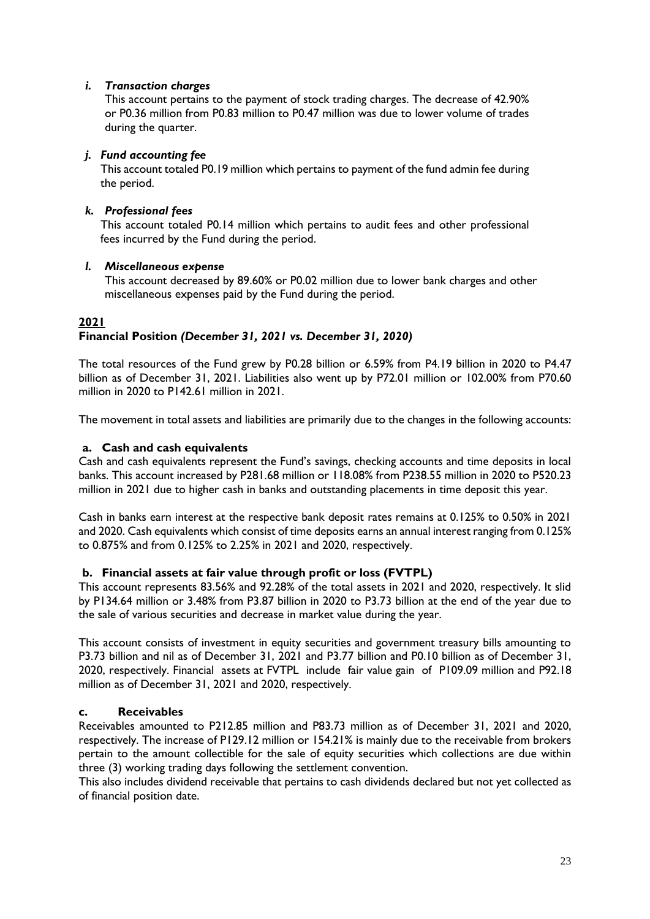### *i. Transaction charges*

This account pertains to the payment of stock trading charges. The decrease of 42.90% or P0.36 million from P0.83 million to P0.47 million was due to lower volume of trades during the quarter.

### *j. Fund accounting fee*

This account totaled P0.19 million which pertains to payment of the fund admin fee during the period.

### *k. Professional fees*

This account totaled P0.14 million which pertains to audit fees and other professional fees incurred by the Fund during the period.

### *l. Miscellaneous expense*

This account decreased by 89.60% or P0.02 million due to lower bank charges and other miscellaneous expenses paid by the Fund during the period.

# **2021 Financial Position** *(December 31, 2021 vs. December 31, 2020)*

The total resources of the Fund grew by P0.28 billion or 6.59% from P4.19 billion in 2020 to P4.47 billion as of December 31, 2021. Liabilities also went up by P72.01 million or 102.00% from P70.60 million in 2020 to P142.61 million in 2021.

The movement in total assets and liabilities are primarily due to the changes in the following accounts:

### **a. Cash and cash equivalents**

Cash and cash equivalents represent the Fund's savings, checking accounts and time deposits in local banks. This account increased by P281.68 million or 118.08% from P238.55 million in 2020 to P520.23 million in 2021 due to higher cash in banks and outstanding placements in time deposit this year.

Cash in banks earn interest at the respective bank deposit rates remains at 0.125% to 0.50% in 2021 and 2020. Cash equivalents which consist of time deposits earns an annual interest ranging from 0.125% to 0.875% and from 0.125% to 2.25% in 2021 and 2020, respectively.

### **b. Financial assets at fair value through profit or loss (FVTPL)**

This account represents 83.56% and 92.28% of the total assets in 2021 and 2020, respectively. It slid by P134.64 million or 3.48% from P3.87 billion in 2020 to P3.73 billion at the end of the year due to the sale of various securities and decrease in market value during the year.

This account consists of investment in equity securities and government treasury bills amounting to P3.73 billion and nil as of December 31, 2021 and P3.77 billion and P0.10 billion as of December 31, 2020, respectively. Financial assets at FVTPL include fair value gain of P109.09 million and P92.18 million as of December 31, 2021 and 2020, respectively.

### **c. Receivables**

Receivables amounted to P212.85 million and P83.73 million as of December 31, 2021 and 2020, respectively. The increase of P129.12 million or 154.21% is mainly due to the receivable from brokers pertain to the amount collectible for the sale of equity securities which collections are due within three (3) working trading days following the settlement convention.

This also includes dividend receivable that pertains to cash dividends declared but not yet collected as of financial position date.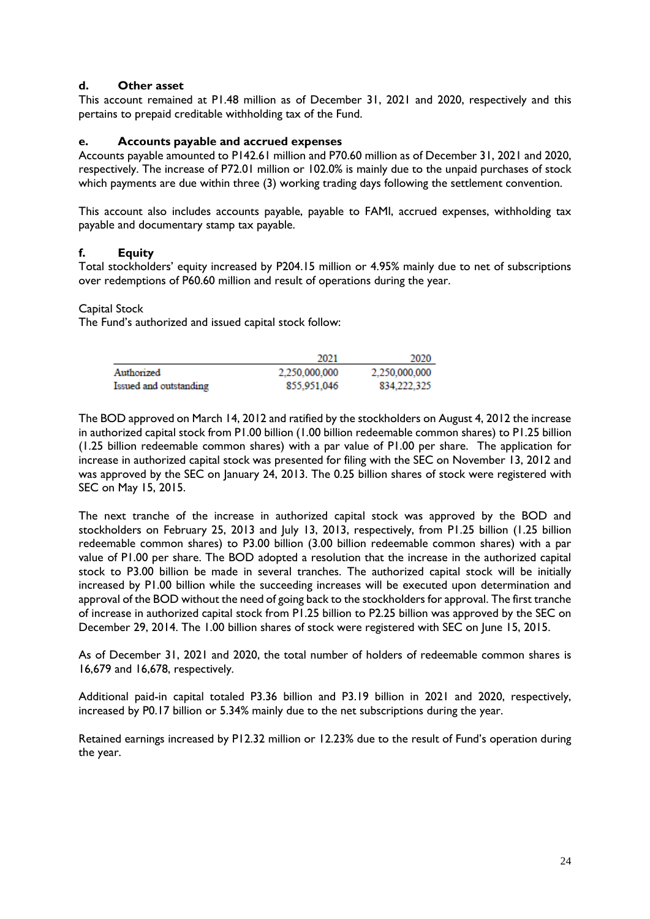# **d. Other asset**

This account remained at P1.48 million as of December 31, 2021 and 2020, respectively and this pertains to prepaid creditable withholding tax of the Fund.

# **e. Accounts payable and accrued expenses**

Accounts payable amounted to P142.61 million and P70.60 million as of December 31, 2021 and 2020, respectively. The increase of P72.01 million or 102.0% is mainly due to the unpaid purchases of stock which payments are due within three (3) working trading days following the settlement convention.

This account also includes accounts payable, payable to FAMI, accrued expenses, withholding tax payable and documentary stamp tax payable.

# **f. Equity**

Total stockholders' equity increased by P204.15 million or 4.95% mainly due to net of subscriptions over redemptions of P60.60 million and result of operations during the year.

### Capital Stock

The Fund's authorized and issued capital stock follow:

|                        | 2021          | 2020          |
|------------------------|---------------|---------------|
| Authorized             | 2.250.000.000 | 2.250.000.000 |
| Issued and outstanding | 855.951.046   | 834.222.325   |

The BOD approved on March 14, 2012 and ratified by the stockholders on August 4, 2012 the increase in authorized capital stock from P1.00 billion (1.00 billion redeemable common shares) to P1.25 billion (1.25 billion redeemable common shares) with a par value of P1.00 per share. The application for increase in authorized capital stock was presented for filing with the SEC on November 13, 2012 and was approved by the SEC on January 24, 2013. The 0.25 billion shares of stock were registered with SEC on May 15, 2015.

The next tranche of the increase in authorized capital stock was approved by the BOD and stockholders on February 25, 2013 and July 13, 2013, respectively, from P1.25 billion (1.25 billion redeemable common shares) to P3.00 billion (3.00 billion redeemable common shares) with a par value of P1.00 per share. The BOD adopted a resolution that the increase in the authorized capital stock to P3.00 billion be made in several tranches. The authorized capital stock will be initially increased by P1.00 billion while the succeeding increases will be executed upon determination and approval of the BOD without the need of going back to the stockholders for approval. The first tranche of increase in authorized capital stock from P1.25 billion to P2.25 billion was approved by the SEC on December 29, 2014. The 1.00 billion shares of stock were registered with SEC on June 15, 2015.

As of December 31, 2021 and 2020, the total number of holders of redeemable common shares is 16,679 and 16,678, respectively.

Additional paid-in capital totaled P3.36 billion and P3.19 billion in 2021 and 2020, respectively, increased by P0.17 billion or 5.34% mainly due to the net subscriptions during the year.

Retained earnings increased by P12.32 million or 12.23% due to the result of Fund's operation during the year.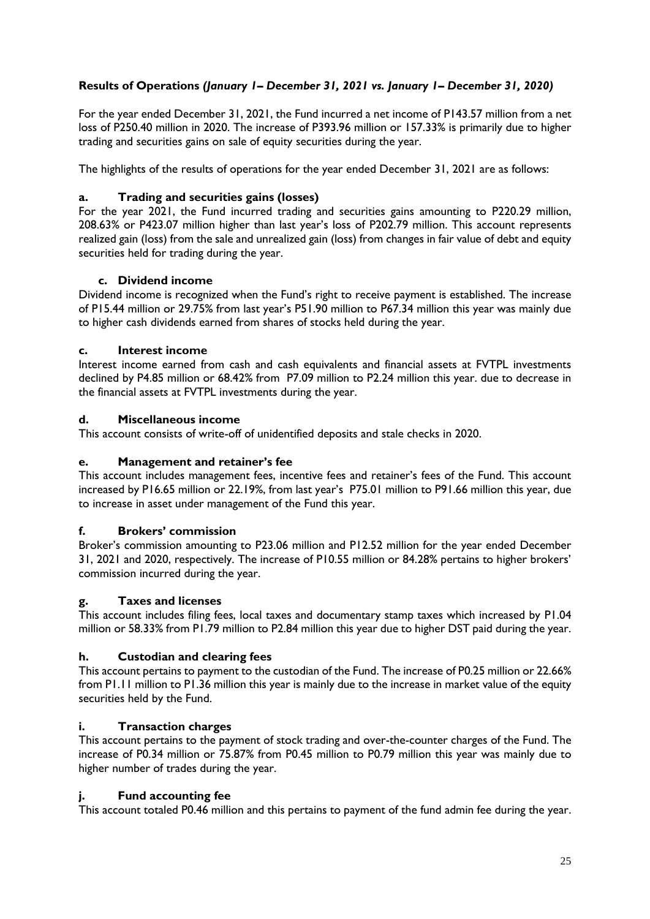# **Results of Operations** *(January 1– December 31, 2021 vs. January 1– December 31, 2020)*

For the year ended December 31, 2021, the Fund incurred a net income of P143.57 million from a net loss of P250.40 million in 2020. The increase of P393.96 million or 157.33% is primarily due to higher trading and securities gains on sale of equity securities during the year.

The highlights of the results of operations for the year ended December 31, 2021 are as follows:

# **a. Trading and securities gains (losses)**

For the year 2021, the Fund incurred trading and securities gains amounting to P220.29 million, 208.63% or P423.07 million higher than last year's loss of P202.79 million. This account represents realized gain (loss) from the sale and unrealized gain (loss) from changes in fair value of debt and equity securities held for trading during the year.

### **c. Dividend income**

Dividend income is recognized when the Fund's right to receive payment is established. The increase of P15.44 million or 29.75% from last year's P51.90 million to P67.34 million this year was mainly due to higher cash dividends earned from shares of stocks held during the year.

## **c. Interest income**

Interest income earned from cash and cash equivalents and financial assets at FVTPL investments declined by P4.85 million or 68.42% from P7.09 million to P2.24 million this year. due to decrease in the financial assets at FVTPL investments during the year.

### **d. Miscellaneous income**

This account consists of write-off of unidentified deposits and stale checks in 2020.

# **e. Management and retainer's fee**

This account includes management fees, incentive fees and retainer's fees of the Fund. This account increased by P16.65 million or 22.19%, from last year's P75.01 million to P91.66 million this year, due to increase in asset under management of the Fund this year.

### **f. Brokers' commission**

Broker's commission amounting to P23.06 million and P12.52 million for the year ended December 31, 2021 and 2020, respectively. The increase of P10.55 million or 84.28% pertains to higher brokers' commission incurred during the year.

### **g. Taxes and licenses**

This account includes filing fees, local taxes and documentary stamp taxes which increased by P1.04 million or 58.33% from P1.79 million to P2.84 million this year due to higher DST paid during the year.

# **h. Custodian and clearing fees**

This account pertains to payment to the custodian of the Fund. The increase of P0.25 million or 22.66% from P1.11 million to P1.36 million this year is mainly due to the increase in market value of the equity securities held by the Fund.

### **i. Transaction charges**

This account pertains to the payment of stock trading and over-the-counter charges of the Fund. The increase of P0.34 million or 75.87% from P0.45 million to P0.79 million this year was mainly due to higher number of trades during the year.

### **j. Fund accounting fee**

This account totaled P0.46 million and this pertains to payment of the fund admin fee during the year.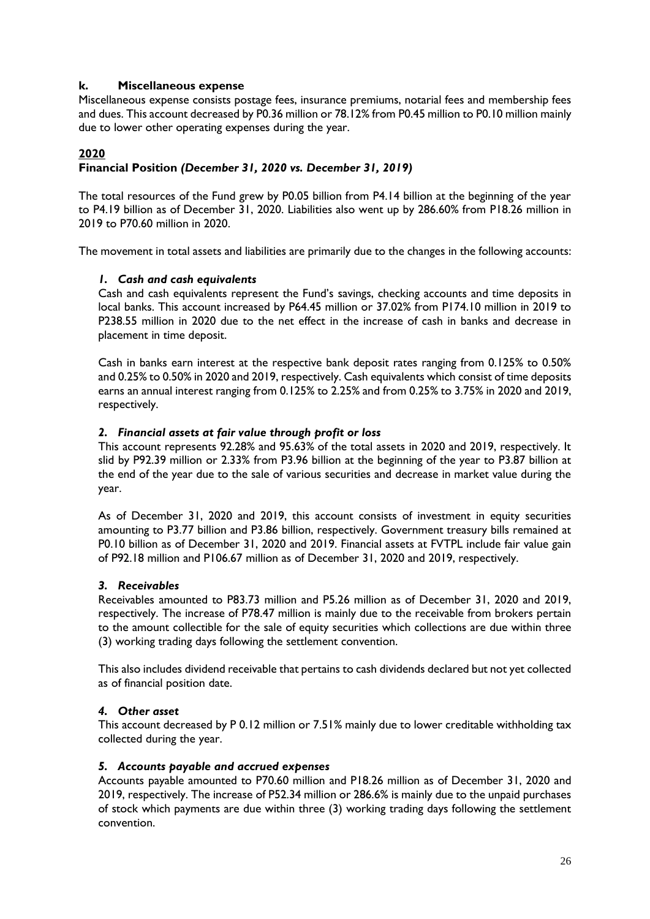### **k. Miscellaneous expense**

Miscellaneous expense consists postage fees, insurance premiums, notarial fees and membership fees and dues. This account decreased by P0.36 million or 78.12% from P0.45 million to P0.10 million mainly due to lower other operating expenses during the year.

### **2020**

### **Financial Position** *(December 31, 2020 vs. December 31, 2019)*

The total resources of the Fund grew by P0.05 billion from P4.14 billion at the beginning of the year to P4.19 billion as of December 31, 2020. Liabilities also went up by 286.60% from P18.26 million in 2019 to P70.60 million in 2020.

The movement in total assets and liabilities are primarily due to the changes in the following accounts:

#### *1. Cash and cash equivalents*

Cash and cash equivalents represent the Fund's savings, checking accounts and time deposits in local banks. This account increased by P64.45 million or 37.02% from P174.10 million in 2019 to P238.55 million in 2020 due to the net effect in the increase of cash in banks and decrease in placement in time deposit.

Cash in banks earn interest at the respective bank deposit rates ranging from 0.125% to 0.50% and 0.25% to 0.50% in 2020 and 2019, respectively. Cash equivalents which consist of time deposits earns an annual interest ranging from 0.125% to 2.25% and from 0.25% to 3.75% in 2020 and 2019, respectively.

#### *2. Financial assets at fair value through profit or loss*

This account represents 92.28% and 95.63% of the total assets in 2020 and 2019, respectively. It slid by P92.39 million or 2.33% from P3.96 billion at the beginning of the year to P3.87 billion at the end of the year due to the sale of various securities and decrease in market value during the year.

As of December 31, 2020 and 2019, this account consists of investment in equity securities amounting to P3.77 billion and P3.86 billion, respectively. Government treasury bills remained at P0.10 billion as of December 31, 2020 and 2019. Financial assets at FVTPL include fair value gain of P92.18 million and P106.67 million as of December 31, 2020 and 2019, respectively.

#### *3. Receivables*

Receivables amounted to P83.73 million and P5.26 million as of December 31, 2020 and 2019, respectively. The increase of P78.47 million is mainly due to the receivable from brokers pertain to the amount collectible for the sale of equity securities which collections are due within three (3) working trading days following the settlement convention.

This also includes dividend receivable that pertains to cash dividends declared but not yet collected as of financial position date.

#### *4. Other asset*

This account decreased by P 0.12 million or 7.51% mainly due to lower creditable withholding tax collected during the year.

#### *5. Accounts payable and accrued expenses*

Accounts payable amounted to P70.60 million and P18.26 million as of December 31, 2020 and 2019, respectively. The increase of P52.34 million or 286.6% is mainly due to the unpaid purchases of stock which payments are due within three (3) working trading days following the settlement convention.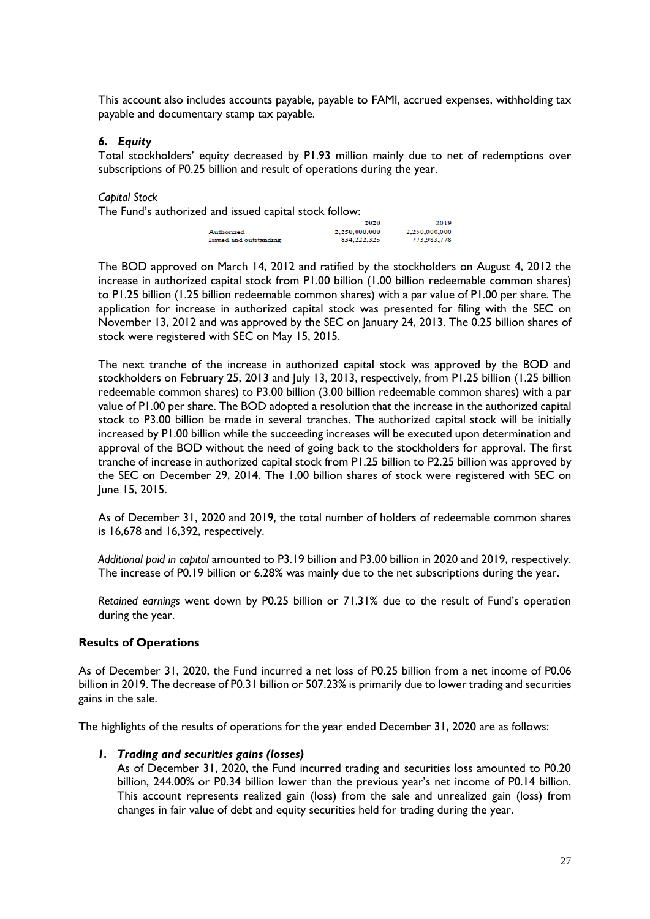This account also includes accounts payable, payable to FAMI, accrued expenses, withholding tax payable and documentary stamp tax payable.

### *6. Equity*

Total stockholders' equity decreased by P1.93 million mainly due to net of redemptions over subscriptions of P0.25 billion and result of operations during the year.

*Capital Stock*

The Fund's authorized and issued capital stock follow:

|                        | 2020          | 2019          |
|------------------------|---------------|---------------|
| Authorized             | 2,250,000,000 | 2.250.000.000 |
| Issued and outstanding | 834, 222, 325 | 773.983.778   |

The BOD approved on March 14, 2012 and ratified by the stockholders on August 4, 2012 the increase in authorized capital stock from P1.00 billion (1.00 billion redeemable common shares) to P1.25 billion (1.25 billion redeemable common shares) with a par value of P1.00 per share. The application for increase in authorized capital stock was presented for filing with the SEC on November 13, 2012 and was approved by the SEC on January 24, 2013. The 0.25 billion shares of stock were registered with SEC on May 15, 2015.

The next tranche of the increase in authorized capital stock was approved by the BOD and stockholders on February 25, 2013 and July 13, 2013, respectively, from P1.25 billion (1.25 billion redeemable common shares) to P3.00 billion (3.00 billion redeemable common shares) with a par value of P1.00 per share. The BOD adopted a resolution that the increase in the authorized capital stock to P3.00 billion be made in several tranches. The authorized capital stock will be initially increased by P1.00 billion while the succeeding increases will be executed upon determination and approval of the BOD without the need of going back to the stockholders for approval. The first tranche of increase in authorized capital stock from P1.25 billion to P2.25 billion was approved by the SEC on December 29, 2014. The 1.00 billion shares of stock were registered with SEC on June 15, 2015.

As of December 31, 2020 and 2019, the total number of holders of redeemable common shares is 16,678 and 16,392, respectively.

*Additional paid in capital* amounted to P3.19 billion and P3.00 billion in 2020 and 2019, respectively. The increase of P0.19 billion or 6.28% was mainly due to the net subscriptions during the year.

*Retained earnings* went down by P0.25 billion or 71.31% due to the result of Fund's operation during the year.

### **Results of Operations**

As of December 31, 2020, the Fund incurred a net loss of P0.25 billion from a net income of P0.06 billion in 2019. The decrease of P0.31 billion or 507.23% is primarily due to lower trading and securities gains in the sale.

The highlights of the results of operations for the year ended December 31, 2020 are as follows:

### *1. Trading and securities gains (losses)*

As of December 31, 2020, the Fund incurred trading and securities loss amounted to P0.20 billion, 244.00% or P0.34 billion lower than the previous year's net income of P0.14 billion. This account represents realized gain (loss) from the sale and unrealized gain (loss) from changes in fair value of debt and equity securities held for trading during the year.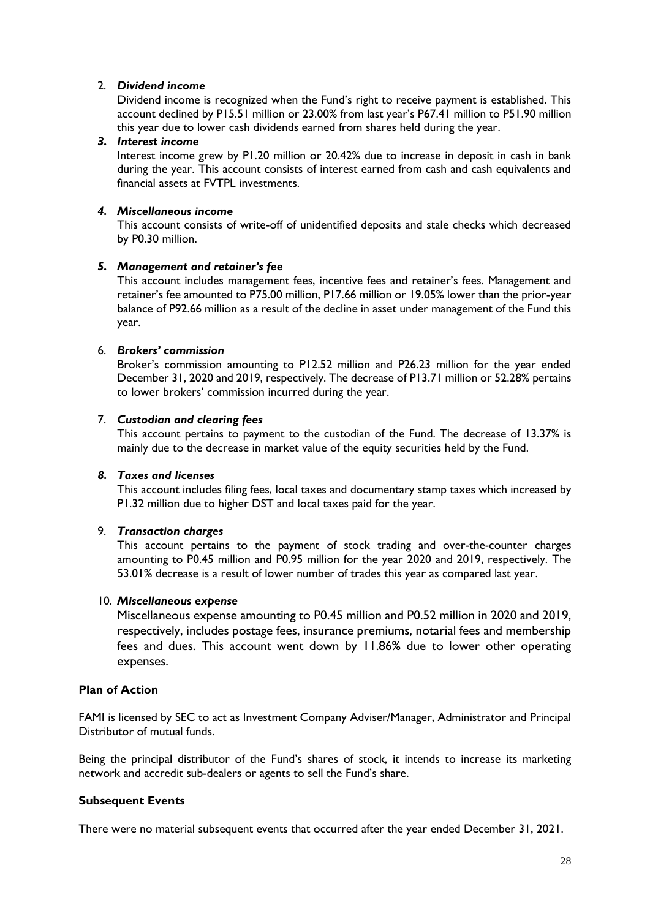### 2. *Dividend income*

Dividend income is recognized when the Fund's right to receive payment is established. This account declined by P15.51 million or 23.00% from last year's P67.41 million to P51.90 million this year due to lower cash dividends earned from shares held during the year.

#### *3. Interest income*

Interest income grew by P1.20 million or 20.42% due to increase in deposit in cash in bank during the year. This account consists of interest earned from cash and cash equivalents and financial assets at FVTPL investments.

### *4. Miscellaneous income*

This account consists of write-off of unidentified deposits and stale checks which decreased by P0.30 million.

### *5. Management and retainer's fee*

This account includes management fees, incentive fees and retainer's fees. Management and retainer's fee amounted to P75.00 million, P17.66 million or 19.05% lower than the prior-year balance of P92.66 million as a result of the decline in asset under management of the Fund this year.

### 6. *Brokers' commission*

Broker's commission amounting to P12.52 million and P26.23 million for the year ended December 31, 2020 and 2019, respectively. The decrease of P13.71 million or 52.28% pertains to lower brokers' commission incurred during the year.

### 7. *Custodian and clearing fees*

This account pertains to payment to the custodian of the Fund. The decrease of 13.37% is mainly due to the decrease in market value of the equity securities held by the Fund.

### *8. Taxes and licenses*

This account includes filing fees, local taxes and documentary stamp taxes which increased by P1.32 million due to higher DST and local taxes paid for the year.

#### 9. *Transaction charges*

This account pertains to the payment of stock trading and over-the-counter charges amounting to P0.45 million and P0.95 million for the year 2020 and 2019, respectively. The 53.01% decrease is a result of lower number of trades this year as compared last year.

#### 10. *Miscellaneous expense*

Miscellaneous expense amounting to P0.45 million and P0.52 million in 2020 and 2019, respectively, includes postage fees, insurance premiums, notarial fees and membership fees and dues. This account went down by 11.86% due to lower other operating expenses.

#### **Plan of Action**

FAMI is licensed by SEC to act as Investment Company Adviser/Manager, Administrator and Principal Distributor of mutual funds.

Being the principal distributor of the Fund's shares of stock, it intends to increase its marketing network and accredit sub-dealers or agents to sell the Fund's share.

#### **Subsequent Events**

There were no material subsequent events that occurred after the year ended December 31, 2021.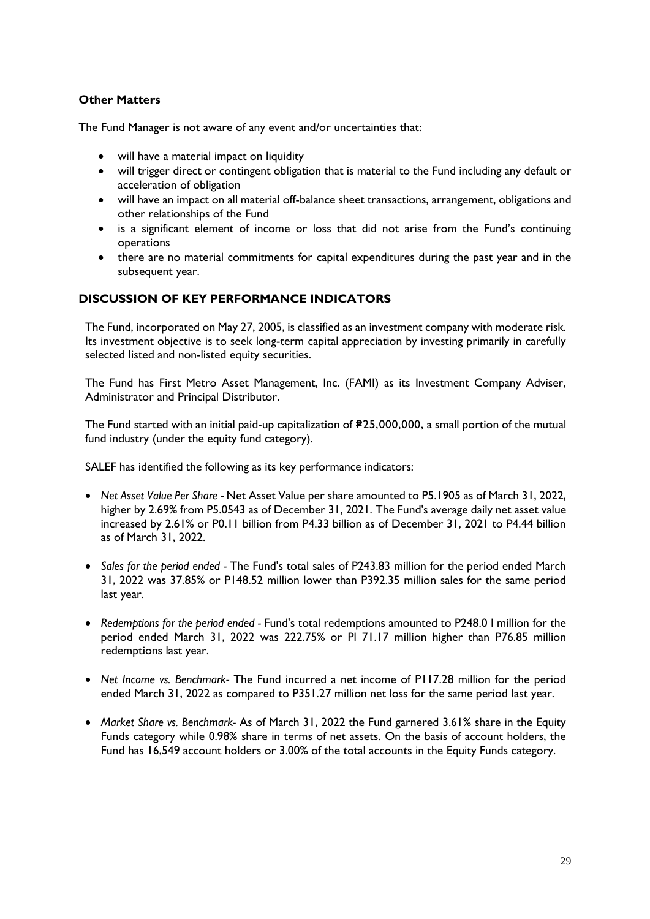# **Other Matters**

The Fund Manager is not aware of any event and/or uncertainties that:

- will have a material impact on liquidity
- will trigger direct or contingent obligation that is material to the Fund including any default or acceleration of obligation
- will have an impact on all material off-balance sheet transactions, arrangement, obligations and other relationships of the Fund
- is a significant element of income or loss that did not arise from the Fund's continuing operations
- there are no material commitments for capital expenditures during the past year and in the subsequent year.

### **DISCUSSION OF KEY PERFORMANCE INDICATORS**

The Fund, incorporated on May 27, 2005, is classified as an investment company with moderate risk. Its investment objective is to seek long-term capital appreciation by investing primarily in carefully selected listed and non-listed equity securities.

The Fund has First Metro Asset Management, Inc. (FAMI) as its Investment Company Adviser, Administrator and Principal Distributor.

The Fund started with an initial paid-up capitalization of  $P25,000,000$ , a small portion of the mutual fund industry (under the equity fund category).

SALEF has identified the following as its key performance indicators:

- *Net Asset Value Per Share -* Net Asset Value per share amounted to P5.1905 as of March 31, 2022, higher by 2.69% from P5.0543 as of December 31, 2021. The Fund's average daily net asset value increased by 2.61% or P0.11 billion from P4.33 billion as of December 31, 2021 to P4.44 billion as of March 31, 2022.
- *Sales for the period ended -* The Fund's total sales of P243.83 million for the period ended March 31, 2022 was 37.85% or P148.52 million lower than P392.35 million sales for the same period last year.
- *Redemptions for the period ended -* Fund's total redemptions amounted to P248.0 I million for the period ended March 31, 2022 was 222.75% or Pl 71.17 million higher than P76.85 million redemptions last year.
- *Net Income vs. Benchmark-* The Fund incurred a net income of P117.28 million for the period ended March 31, 2022 as compared to P351.27 million net loss for the same period last year.
- *Market Share vs. Benchmark-* As of March 31, 2022 the Fund garnered 3.61% share in the Equity Funds category while 0.98% share in terms of net assets. On the basis of account holders, the Fund has 16,549 account holders or 3.00% of the total accounts in the Equity Funds category.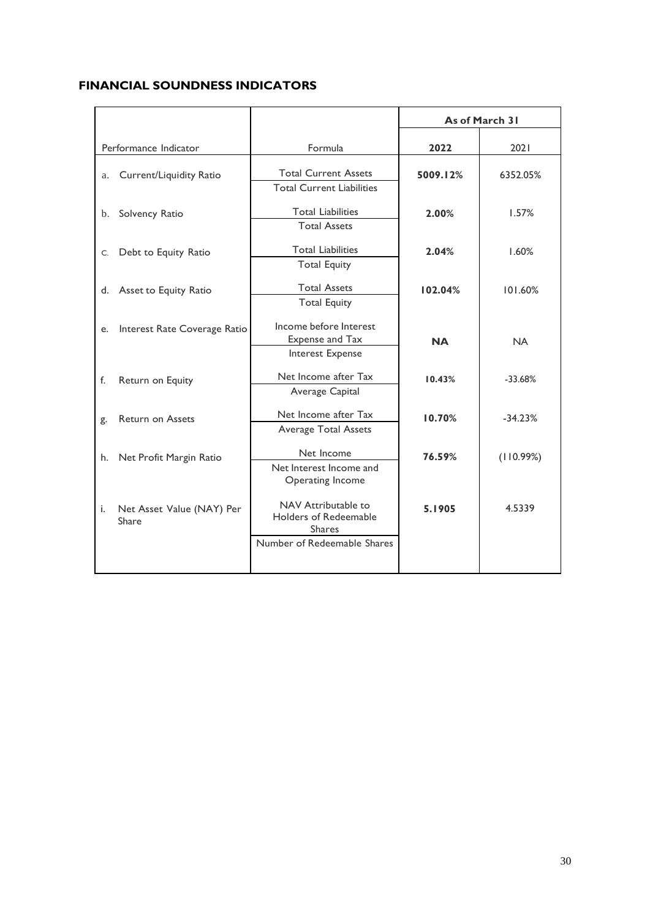# **FINANCIAL SOUNDNESS INDICATORS**

|    |                                    |                                                                                                                  | As of March 31 |           |
|----|------------------------------------|------------------------------------------------------------------------------------------------------------------|----------------|-----------|
|    | Performance Indicator              | Formula                                                                                                          | 2022           | 2021      |
| a. | Current/Liquidity Ratio            | <b>Total Current Assets</b>                                                                                      | 5009.12%       | 6352.05%  |
| b. | Solvency Ratio                     | <b>Total Current Liabilities</b><br><b>Total Liabilities</b><br><b>Total Assets</b>                              | 2.00%          | 1.57%     |
| C. | Debt to Equity Ratio               | <b>Total Liabilities</b><br><b>Total Equity</b>                                                                  | 2.04%          | 1.60%     |
| d. | Asset to Equity Ratio              | <b>Total Assets</b><br><b>Total Equity</b>                                                                       | 102.04%        | 101.60%   |
| e. | Interest Rate Coverage Ratio       | Income before Interest<br>Expense and Tax                                                                        | <b>NA</b>      | <b>NA</b> |
|    |                                    | Interest Expense                                                                                                 |                |           |
| f. | Return on Equity                   | Net Income after Tax<br>Average Capital                                                                          | 10.43%         | $-33.68%$ |
| g. | <b>Return on Assets</b>            | Net Income after Tax<br><b>Average Total Assets</b>                                                              | 10.70%         | $-34.23%$ |
| h. | Net Profit Margin Ratio            | Net Income<br>Net Interest Income and                                                                            | 76.59%         | (110.99%) |
| i. | Net Asset Value (NAY) Per<br>Share | Operating Income<br>NAV Attributable to<br>Holders of Redeemable<br><b>Shares</b><br>Number of Redeemable Shares | 5.1905         | 4.5339    |